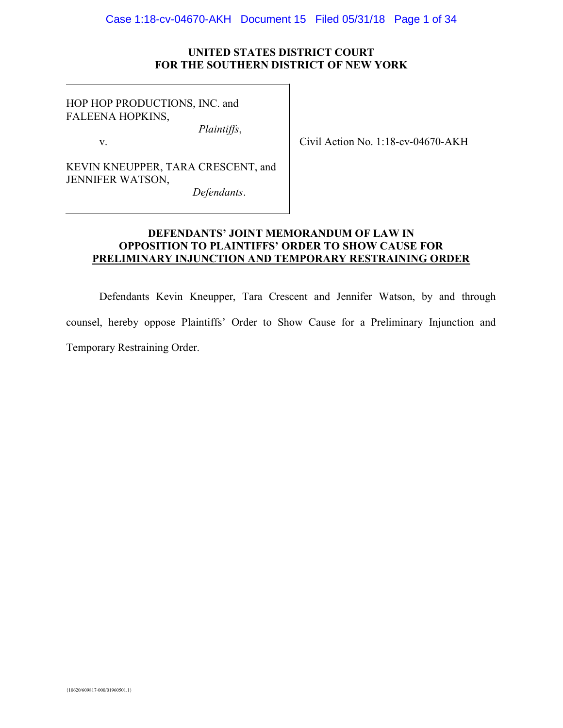## UNITED STATES DISTRICT COURT FOR THE SOUTHERN DISTRICT OF NEW YORK

HOP HOP PRODUCTIONS, INC. and FALEENA HOPKINS,

v.

Civil Action No. 1:18-cv-04670-AKH

KEVIN KNEUPPER, TARA CRESCENT, and JENNIFER WATSON,

Defendants.

Plaintiffs,

# DEFENDANTS' JOINT MEMORANDUM OF LAW IN OPPOSITION TO PLAINTIFFS' ORDER TO SHOW CAUSE FOR PRELIMINARY INJUNCTION AND TEMPORARY RESTRAINING ORDER

Defendants Kevin Kneupper, Tara Crescent and Jennifer Watson, by and through counsel, hereby oppose Plaintiffs' Order to Show Cause for a Preliminary Injunction and Temporary Restraining Order.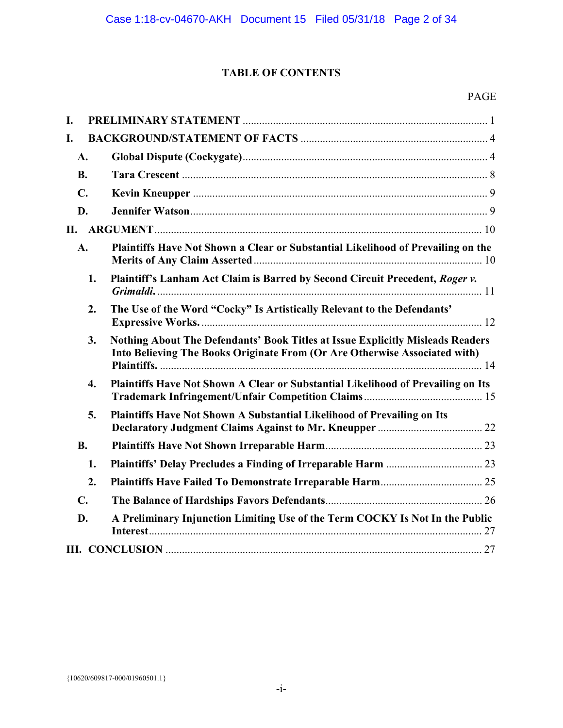# TABLE OF CONTENTS

# PAGE

| L.               |                                                                                                                                                              |
|------------------|--------------------------------------------------------------------------------------------------------------------------------------------------------------|
| I.               |                                                                                                                                                              |
| A.               |                                                                                                                                                              |
| <b>B.</b>        |                                                                                                                                                              |
| $\mathbf{C}$ .   |                                                                                                                                                              |
| D.               |                                                                                                                                                              |
|                  |                                                                                                                                                              |
| A.               | Plaintiffs Have Not Shown a Clear or Substantial Likelihood of Prevailing on the                                                                             |
| 1.               | Plaintiff's Lanham Act Claim is Barred by Second Circuit Precedent, Roger v.                                                                                 |
| 2.               | The Use of the Word "Cocky" Is Artistically Relevant to the Defendants'                                                                                      |
| 3.               | Nothing About The Defendants' Book Titles at Issue Explicitly Misleads Readers<br>Into Believing The Books Originate From (Or Are Otherwise Associated with) |
| $\overline{4}$ . | Plaintiffs Have Not Shown A Clear or Substantial Likelihood of Prevailing on Its                                                                             |
| 5.               | Plaintiffs Have Not Shown A Substantial Likelihood of Prevailing on Its                                                                                      |
| <b>B.</b>        |                                                                                                                                                              |
| 1.               |                                                                                                                                                              |
| 2.               |                                                                                                                                                              |
| $\mathbf{C}$ .   |                                                                                                                                                              |
| D.               | A Preliminary Injunction Limiting Use of the Term COCKY Is Not In the Public                                                                                 |
|                  |                                                                                                                                                              |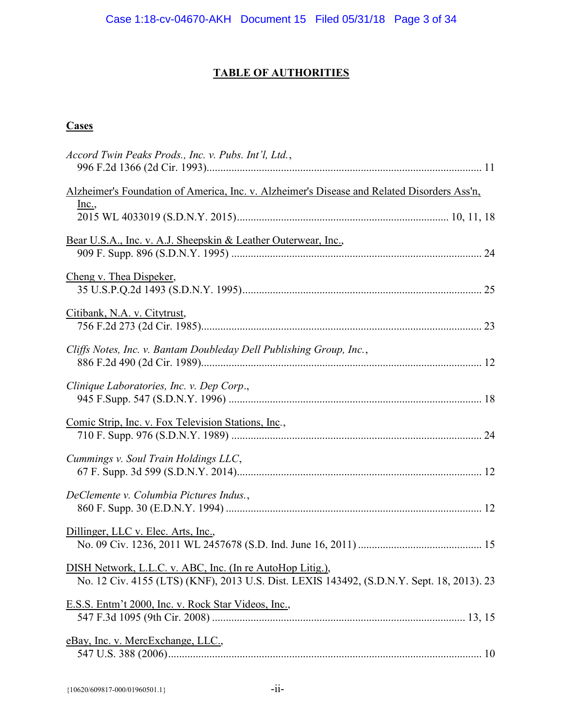# TABLE OF AUTHORITIES

# **Cases**

| Accord Twin Peaks Prods., Inc. v. Pubs. Int'l, Ltd.,                                                                                                   |
|--------------------------------------------------------------------------------------------------------------------------------------------------------|
| Alzheimer's Foundation of America, Inc. v. Alzheimer's Disease and Related Disorders Ass'n,<br>$Inc.$                                                  |
| Bear U.S.A., Inc. v. A.J. Sheepskin & Leather Outerwear, Inc.,                                                                                         |
| Cheng v. Thea Dispeker,                                                                                                                                |
| Citibank, N.A. v. Citytrust,                                                                                                                           |
| Cliffs Notes, Inc. v. Bantam Doubleday Dell Publishing Group, Inc.,                                                                                    |
| Clinique Laboratories, Inc. v. Dep Corp.,                                                                                                              |
| Comic Strip, Inc. v. Fox Television Stations, Inc.,                                                                                                    |
| Cummings v. Soul Train Holdings LLC,                                                                                                                   |
| DeClemente v. Columbia Pictures Indus.,                                                                                                                |
| Dillinger, LLC v. Elec. Arts, Inc.,                                                                                                                    |
| DISH Network, L.L.C. v. ABC, Inc. (In re AutoHop Litig.),<br>No. 12 Civ. 4155 (LTS) (KNF), 2013 U.S. Dist. LEXIS 143492, (S.D.N.Y. Sept. 18, 2013). 23 |
| E.S.S. Entm't 2000, Inc. v. Rock Star Videos, Inc.,                                                                                                    |
| eBay, Inc. v. MercExchange, LLC.,                                                                                                                      |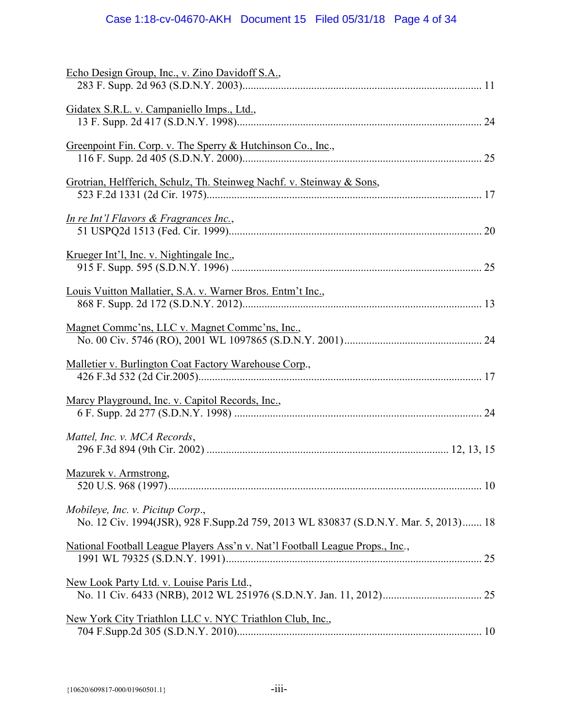# Case 1:18-cv-04670-AKH Document 15 Filed 05/31/18 Page 4 of 34

| Echo Design Group, Inc., v. Zino Davidoff S.A.,                                                                         |
|-------------------------------------------------------------------------------------------------------------------------|
| Gidatex S.R.L. v. Campaniello Imps., Ltd.,                                                                              |
| Greenpoint Fin. Corp. v. The Sperry & Hutchinson Co., Inc.,                                                             |
| Grotrian, Helfferich, Schulz, Th. Steinweg Nachf. v. Steinway & Sons,                                                   |
| <u>In re Int'l Flavors &amp; Fragrances Inc.</u> ,                                                                      |
| <u>Krueger Int'l, Inc. v. Nightingale Inc.</u> ,                                                                        |
| Louis Vuitton Mallatier, S.A. v. Warner Bros. Entm't Inc.,                                                              |
| Magnet Comme'ns, LLC v. Magnet Comme'ns, Inc.,                                                                          |
| Malletier v. Burlington Coat Factory Warehouse Corp.,                                                                   |
| Marcy Playground, Inc. v. Capitol Records, Inc.,                                                                        |
|                                                                                                                         |
| Mattel, Inc. v. MCA Records,                                                                                            |
| Mazurek v. Armstrong,                                                                                                   |
| Mobileye, Inc. v. Picitup Corp.,<br>No. 12 Civ. 1994(JSR), 928 F.Supp.2d 759, 2013 WL 830837 (S.D.N.Y. Mar. 5, 2013) 18 |
| National Football League Players Ass'n v. Nat'l Football League Props., Inc.,                                           |
| New Look Party Ltd. v. Louise Paris Ltd.,                                                                               |
| New York City Triathlon LLC v. NYC Triathlon Club, Inc.,                                                                |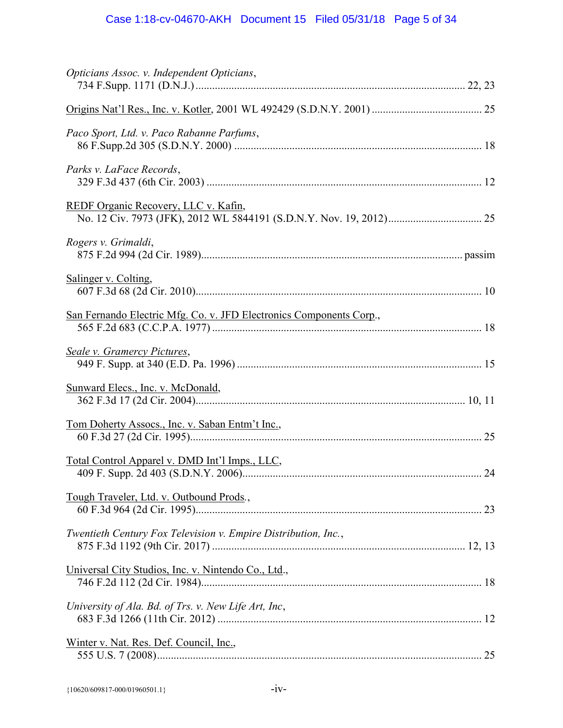| Opticians Assoc. v. Independent Opticians,                          |  |
|---------------------------------------------------------------------|--|
|                                                                     |  |
| Paco Sport, Ltd. v. Paco Rabanne Parfums,                           |  |
| Parks v. LaFace Records,                                            |  |
| REDF Organic Recovery, LLC v. Kafin,                                |  |
| Rogers v. Grimaldi,                                                 |  |
| Salinger v. Colting,                                                |  |
| San Fernando Electric Mfg. Co. v. JFD Electronics Components Corp., |  |
| <b>Seale v. Gramercy Pictures,</b>                                  |  |
| Sunward Elecs., Inc. v. McDonald,                                   |  |
| Tom Doherty Assocs., Inc. v. Saban Entm't Inc.,                     |  |
| Total Control Apparel v. DMD Int'l Imps., LLC,                      |  |
| Tough Traveler, Ltd. v. Outbound Prods.,                            |  |
| Twentieth Century Fox Television v. Empire Distribution, Inc.,      |  |
| Universal City Studios, Inc. v. Nintendo Co., Ltd.,                 |  |
| University of Ala. Bd. of Trs. v. New Life Art, Inc,                |  |
| Winter v. Nat. Res. Def. Council, Inc.,                             |  |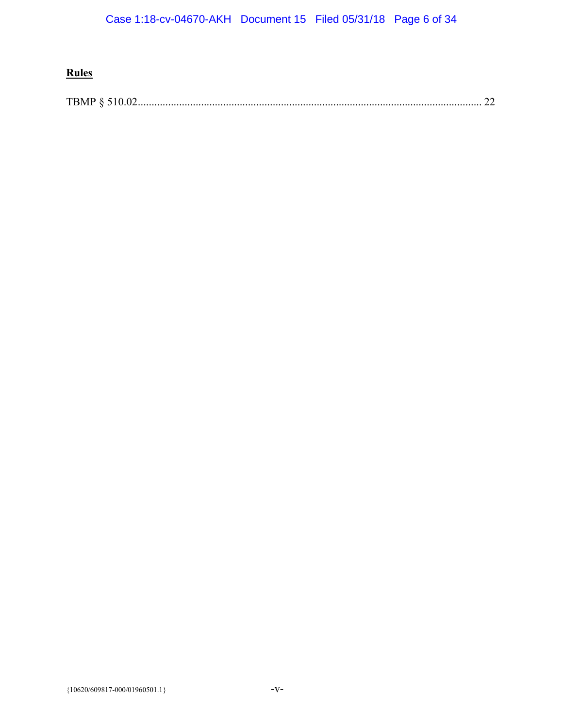# **Rules**

TBMP § 510.02 ............................................................................................................................. 22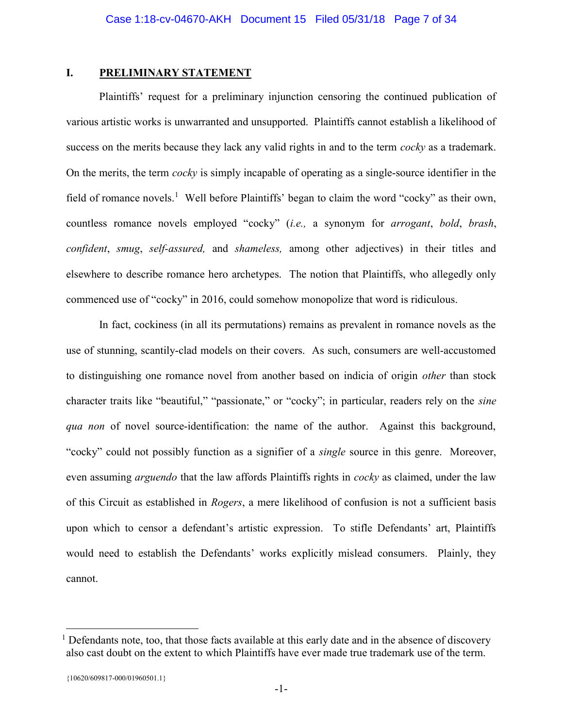## I. PRELIMINARY STATEMENT

 Plaintiffs' request for a preliminary injunction censoring the continued publication of various artistic works is unwarranted and unsupported. Plaintiffs cannot establish a likelihood of success on the merits because they lack any valid rights in and to the term *cocky* as a trademark. On the merits, the term cocky is simply incapable of operating as a single-source identifier in the field of romance novels.<sup>1</sup> Well before Plaintiffs' began to claim the word "cocky" as their own, countless romance novels employed "cocky" (i.e., a synonym for arrogant, bold, brash, confident, smug, self-assured, and shameless, among other adjectives) in their titles and elsewhere to describe romance hero archetypes. The notion that Plaintiffs, who allegedly only commenced use of "cocky" in 2016, could somehow monopolize that word is ridiculous.

 In fact, cockiness (in all its permutations) remains as prevalent in romance novels as the use of stunning, scantily-clad models on their covers. As such, consumers are well-accustomed to distinguishing one romance novel from another based on indicia of origin other than stock character traits like "beautiful," "passionate," or "cocky"; in particular, readers rely on the sine qua non of novel source-identification: the name of the author. Against this background, "cocky" could not possibly function as a signifier of a *single* source in this genre. Moreover, even assuming *arguendo* that the law affords Plaintiffs rights in *cocky* as claimed, under the law of this Circuit as established in Rogers, a mere likelihood of confusion is not a sufficient basis upon which to censor a defendant's artistic expression. To stifle Defendants' art, Plaintiffs would need to establish the Defendants' works explicitly mislead consumers. Plainly, they cannot.

 $\overline{a}$ 

<sup>&</sup>lt;sup>1</sup> Defendants note, too, that those facts available at this early date and in the absence of discovery also cast doubt on the extent to which Plaintiffs have ever made true trademark use of the term.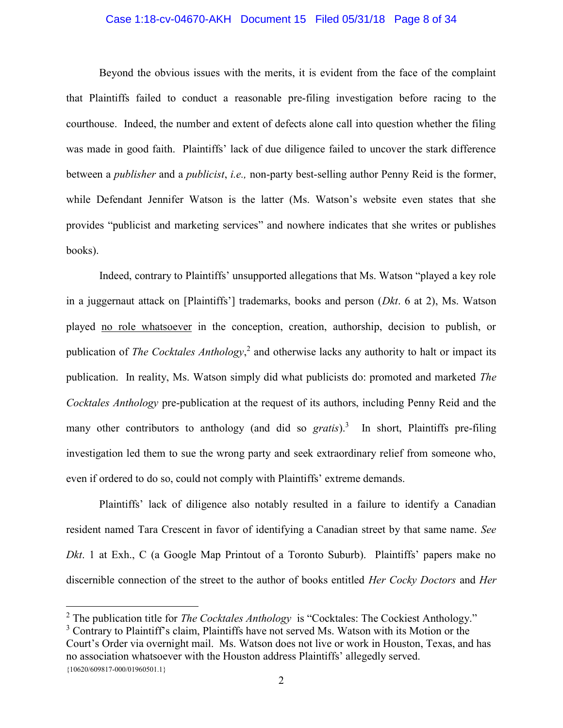#### Case 1:18-cv-04670-AKH Document 15 Filed 05/31/18 Page 8 of 34

 Beyond the obvious issues with the merits, it is evident from the face of the complaint that Plaintiffs failed to conduct a reasonable pre-filing investigation before racing to the courthouse. Indeed, the number and extent of defects alone call into question whether the filing was made in good faith. Plaintiffs' lack of due diligence failed to uncover the stark difference between a *publisher* and a *publicist*, *i.e.*, non-party best-selling author Penny Reid is the former, while Defendant Jennifer Watson is the latter (Ms. Watson's website even states that she provides "publicist and marketing services" and nowhere indicates that she writes or publishes books).

Indeed, contrary to Plaintiffs' unsupported allegations that Ms. Watson "played a key role in a juggernaut attack on [Plaintiffs'] trademarks, books and person (*Dkt.* 6 at 2), Ms. Watson played no role whatsoever in the conception, creation, authorship, decision to publish, or publication of *The Cocktales Anthology*,<sup>2</sup> and otherwise lacks any authority to halt or impact its publication. In reality, Ms. Watson simply did what publicists do: promoted and marketed The Cocktales Anthology pre-publication at the request of its authors, including Penny Reid and the many other contributors to anthology (and did so  $gratis$ ).<sup>3</sup> In short, Plaintiffs pre-filing investigation led them to sue the wrong party and seek extraordinary relief from someone who, even if ordered to do so, could not comply with Plaintiffs' extreme demands.

 Plaintiffs' lack of diligence also notably resulted in a failure to identify a Canadian resident named Tara Crescent in favor of identifying a Canadian street by that same name. See Dkt. 1 at Exh., C (a Google Map Printout of a Toronto Suburb). Plaintiffs' papers make no discernible connection of the street to the author of books entitled Her Cocky Doctors and Her

 $\overline{a}$ 

{10620/609817-000/01960501.1} <sup>3</sup> Contrary to Plaintiff's claim, Plaintiffs have not served Ms. Watson with its Motion or the Court's Order via overnight mail. Ms. Watson does not live or work in Houston, Texas, and has no association whatsoever with the Houston address Plaintiffs' allegedly served.

<sup>&</sup>lt;sup>2</sup> The publication title for *The Cocktales Anthology* is "Cocktales: The Cockiest Anthology."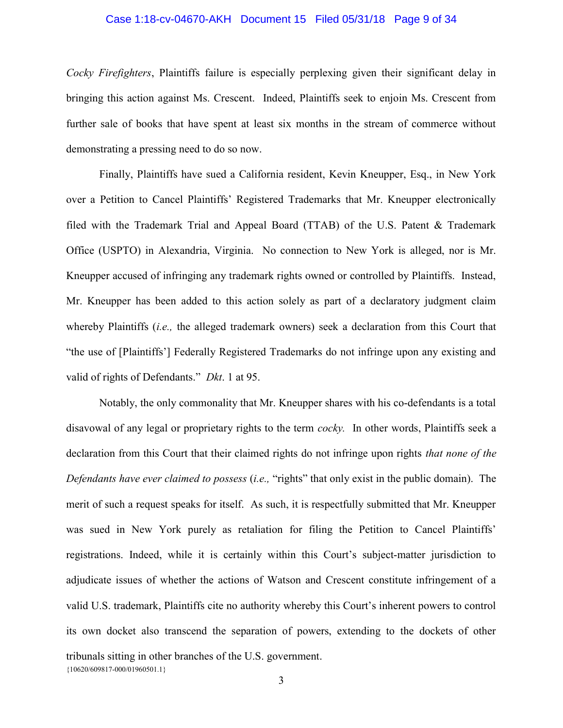#### Case 1:18-cv-04670-AKH Document 15 Filed 05/31/18 Page 9 of 34

Cocky Firefighters, Plaintiffs failure is especially perplexing given their significant delay in bringing this action against Ms. Crescent. Indeed, Plaintiffs seek to enjoin Ms. Crescent from further sale of books that have spent at least six months in the stream of commerce without demonstrating a pressing need to do so now.

Finally, Plaintiffs have sued a California resident, Kevin Kneupper, Esq., in New York over a Petition to Cancel Plaintiffs' Registered Trademarks that Mr. Kneupper electronically filed with the Trademark Trial and Appeal Board (TTAB) of the U.S. Patent & Trademark Office (USPTO) in Alexandria, Virginia. No connection to New York is alleged, nor is Mr. Kneupper accused of infringing any trademark rights owned or controlled by Plaintiffs. Instead, Mr. Kneupper has been added to this action solely as part of a declaratory judgment claim whereby Plaintiffs *(i.e., the alleged trademark owners)* seek a declaration from this Court that "the use of [Plaintiffs'] Federally Registered Trademarks do not infringe upon any existing and valid of rights of Defendants." Dkt. 1 at 95.

{10620/609817-000/01960501.1} Notably, the only commonality that Mr. Kneupper shares with his co-defendants is a total disavowal of any legal or proprietary rights to the term *cocky*. In other words, Plaintiffs seek a declaration from this Court that their claimed rights do not infringe upon rights *that none of the* Defendants have ever claimed to possess *(i.e.,* "rights" that only exist in the public domain). The merit of such a request speaks for itself. As such, it is respectfully submitted that Mr. Kneupper was sued in New York purely as retaliation for filing the Petition to Cancel Plaintiffs' registrations. Indeed, while it is certainly within this Court's subject-matter jurisdiction to adjudicate issues of whether the actions of Watson and Crescent constitute infringement of a valid U.S. trademark, Plaintiffs cite no authority whereby this Court's inherent powers to control its own docket also transcend the separation of powers, extending to the dockets of other tribunals sitting in other branches of the U.S. government.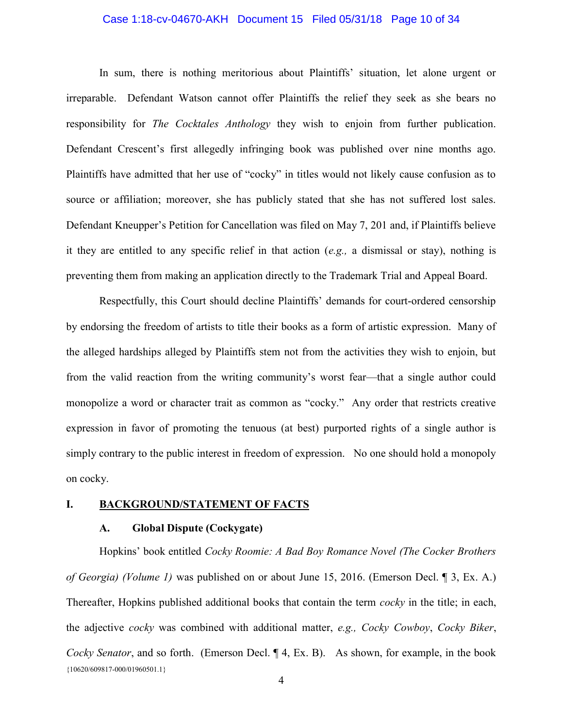### Case 1:18-cv-04670-AKH Document 15 Filed 05/31/18 Page 10 of 34

In sum, there is nothing meritorious about Plaintiffs' situation, let alone urgent or irreparable. Defendant Watson cannot offer Plaintiffs the relief they seek as she bears no responsibility for *The Cocktales Anthology* they wish to enjoin from further publication. Defendant Crescent's first allegedly infringing book was published over nine months ago. Plaintiffs have admitted that her use of "cocky" in titles would not likely cause confusion as to source or affiliation; moreover, she has publicly stated that she has not suffered lost sales. Defendant Kneupper's Petition for Cancellation was filed on May 7, 201 and, if Plaintiffs believe it they are entitled to any specific relief in that action (e.g., a dismissal or stay), nothing is preventing them from making an application directly to the Trademark Trial and Appeal Board.

Respectfully, this Court should decline Plaintiffs' demands for court-ordered censorship by endorsing the freedom of artists to title their books as a form of artistic expression. Many of the alleged hardships alleged by Plaintiffs stem not from the activities they wish to enjoin, but from the valid reaction from the writing community's worst fear—that a single author could monopolize a word or character trait as common as "cocky." Any order that restricts creative expression in favor of promoting the tenuous (at best) purported rights of a single author is simply contrary to the public interest in freedom of expression. No one should hold a monopoly on cocky.

## I. BACKGROUND/STATEMENT OF FACTS

## A. Global Dispute (Cockygate)

{10620/609817-000/01960501.1} Hopkins' book entitled Cocky Roomie: A Bad Boy Romance Novel (The Cocker Brothers of Georgia) (Volume 1) was published on or about June 15, 2016. (Emerson Decl. ¶ 3, Ex. A.) Thereafter, Hopkins published additional books that contain the term *cocky* in the title; in each, the adjective cocky was combined with additional matter, e.g., Cocky Cowboy, Cocky Biker, Cocky Senator, and so forth. (Emerson Decl. ¶ 4, Ex. B). As shown, for example, in the book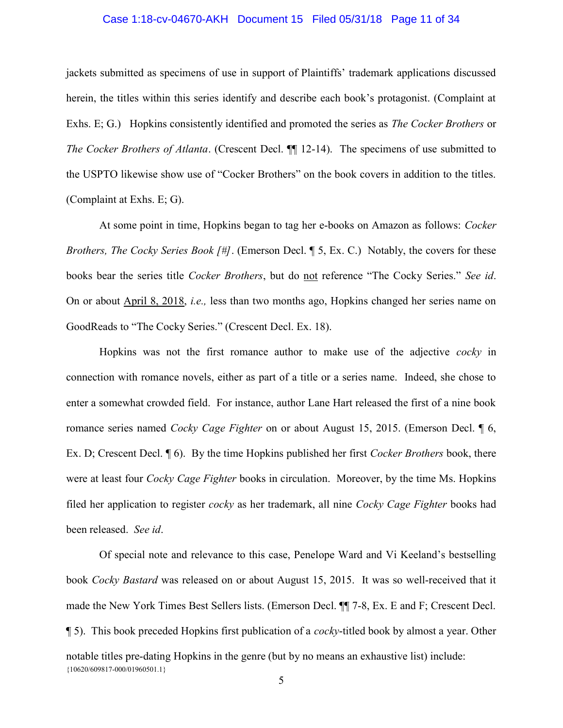#### Case 1:18-cv-04670-AKH Document 15 Filed 05/31/18 Page 11 of 34

jackets submitted as specimens of use in support of Plaintiffs' trademark applications discussed herein, the titles within this series identify and describe each book's protagonist. (Complaint at Exhs. E; G.) Hopkins consistently identified and promoted the series as *The Cocker Brothers* or The Cocker Brothers of Atlanta. (Crescent Decl. ¶ 12-14). The specimens of use submitted to the USPTO likewise show use of "Cocker Brothers" on the book covers in addition to the titles. (Complaint at Exhs. E; G).

 At some point in time, Hopkins began to tag her e-books on Amazon as follows: Cocker Brothers, The Cocky Series Book  $/H$ . (Emerson Decl.  $\P$  5, Ex. C.) Notably, the covers for these books bear the series title Cocker Brothers, but do not reference "The Cocky Series." See id. On or about April 8, 2018, i.e., less than two months ago, Hopkins changed her series name on GoodReads to "The Cocky Series." (Crescent Decl. Ex. 18).

Hopkins was not the first romance author to make use of the adjective *cocky* in connection with romance novels, either as part of a title or a series name. Indeed, she chose to enter a somewhat crowded field. For instance, author Lane Hart released the first of a nine book romance series named *Cocky Cage Fighter* on or about August 15, 2015. (Emerson Decl. 16, Ex. D; Crescent Decl.  $\P$  6). By the time Hopkins published her first *Cocker Brothers* book, there were at least four *Cocky Cage Fighter* books in circulation. Moreover, by the time Ms. Hopkins filed her application to register *cocky* as her trademark, all nine *Cocky Cage Fighter* books had been released. See id.

{10620/609817-000/01960501.1} Of special note and relevance to this case, Penelope Ward and Vi Keeland's bestselling book Cocky Bastard was released on or about August 15, 2015. It was so well-received that it made the New York Times Best Sellers lists. (Emerson Decl. ¶¶ 7-8, Ex. E and F; Crescent Decl. ¶ 5). This book preceded Hopkins first publication of a cocky-titled book by almost a year. Other notable titles pre-dating Hopkins in the genre (but by no means an exhaustive list) include: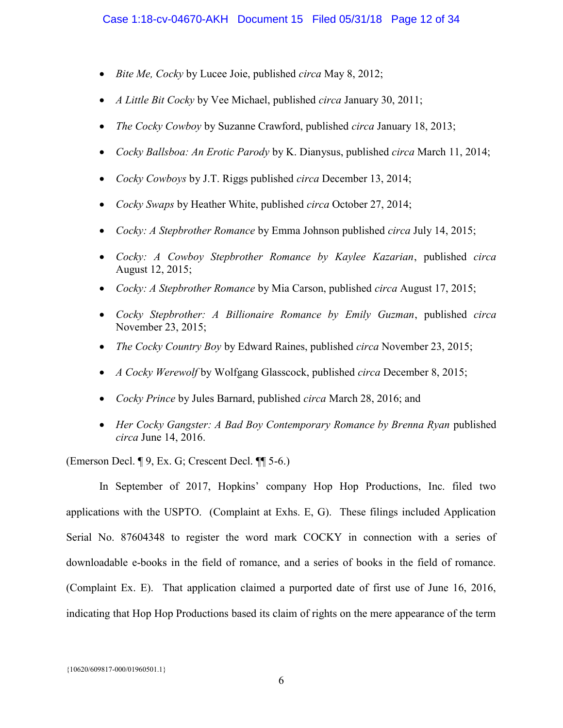- $\bullet$  Bite Me, Cocky by Lucee Joie, published circa May 8, 2012;
- $\bullet$  *A Little Bit Cocky* by Vee Michael, published *circa January* 30, 2011;
- The Cocky Cowboy by Suzanne Crawford, published circa January 18, 2013;
- Cocky Ballsboa: An Erotic Parody by K. Dianysus, published circa March 11, 2014;
- Cocky Cowboys by J.T. Riggs published circa December 13, 2014;
- Cocky Swaps by Heather White, published circa October 27, 2014;
- Cocky: A Stepbrother Romance by Emma Johnson published circa July 14, 2015;
- Cocky: A Cowboy Stepbrother Romance by Kaylee Kazarian, published circa August 12, 2015;
- Cocky: A Stepbrother Romance by Mia Carson, published circa August 17, 2015;
- Cocky Stepbrother: A Billionaire Romance by Emily Guzman, published circa November 23, 2015;
- The Cocky Country Boy by Edward Raines, published circa November 23, 2015;
- A Cocky Werewolf by Wolfgang Glasscock, published circa December 8, 2015;
- Cocky Prince by Jules Barnard, published circa March 28, 2016; and
- Her Cocky Gangster: A Bad Boy Contemporary Romance by Brenna Ryan published circa June 14, 2016.

(Emerson Decl. ¶ 9, Ex. G; Crescent Decl. ¶¶ 5-6.)

In September of 2017, Hopkins' company Hop Hop Productions, Inc. filed two applications with the USPTO. (Complaint at Exhs. E, G). These filings included Application Serial No. 87604348 to register the word mark COCKY in connection with a series of downloadable e-books in the field of romance, and a series of books in the field of romance. (Complaint Ex. E). That application claimed a purported date of first use of June 16, 2016, indicating that Hop Hop Productions based its claim of rights on the mere appearance of the term

{10620/609817-000/01960501.1}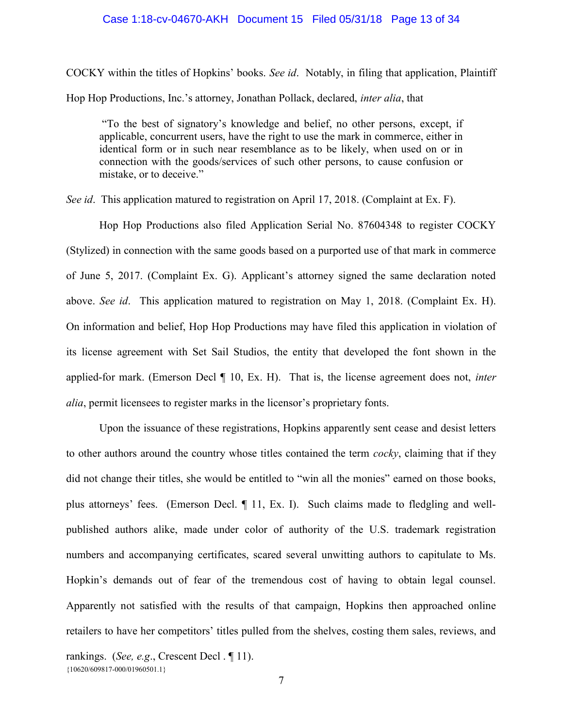#### Case 1:18-cv-04670-AKH Document 15 Filed 05/31/18 Page 13 of 34

COCKY within the titles of Hopkins' books. See id. Notably, in filing that application, Plaintiff Hop Hop Productions, Inc.'s attorney, Jonathan Pollack, declared, inter alia, that

 "To the best of signatory's knowledge and belief, no other persons, except, if applicable, concurrent users, have the right to use the mark in commerce, either in identical form or in such near resemblance as to be likely, when used on or in connection with the goods/services of such other persons, to cause confusion or mistake, or to deceive."

See id. This application matured to registration on April 17, 2018. (Complaint at Ex. F).

Hop Hop Productions also filed Application Serial No. 87604348 to register COCKY (Stylized) in connection with the same goods based on a purported use of that mark in commerce of June 5, 2017. (Complaint Ex. G). Applicant's attorney signed the same declaration noted above. See id. This application matured to registration on May 1, 2018. (Complaint Ex. H). On information and belief, Hop Hop Productions may have filed this application in violation of its license agreement with Set Sail Studios, the entity that developed the font shown in the applied-for mark. (Emerson Decl  $\P$  10, Ex. H). That is, the license agreement does not, *inter* alia, permit licensees to register marks in the licensor's proprietary fonts.

Upon the issuance of these registrations, Hopkins apparently sent cease and desist letters to other authors around the country whose titles contained the term *cocky*, claiming that if they did not change their titles, she would be entitled to "win all the monies" earned on those books, plus attorneys' fees. (Emerson Decl. ¶ 11, Ex. I). Such claims made to fledgling and wellpublished authors alike, made under color of authority of the U.S. trademark registration numbers and accompanying certificates, scared several unwitting authors to capitulate to Ms. Hopkin's demands out of fear of the tremendous cost of having to obtain legal counsel. Apparently not satisfied with the results of that campaign, Hopkins then approached online retailers to have her competitors' titles pulled from the shelves, costing them sales, reviews, and

rankings. (See, e.g., Crescent Decl. 11).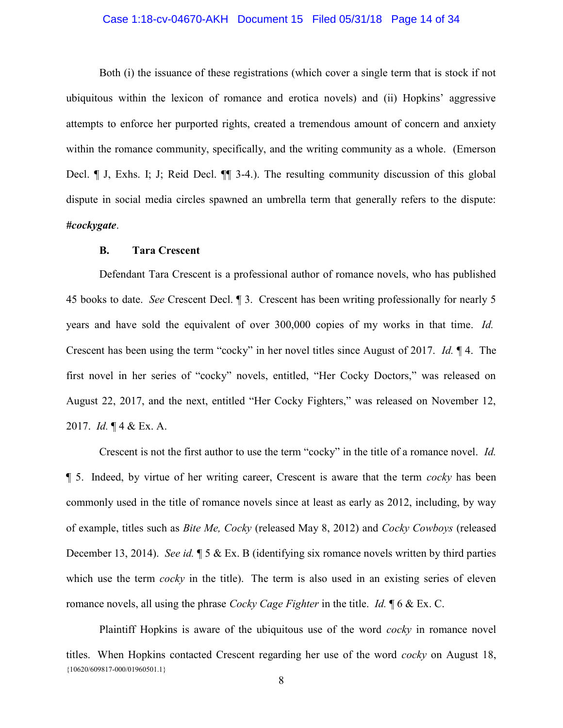### Case 1:18-cv-04670-AKH Document 15 Filed 05/31/18 Page 14 of 34

 Both (i) the issuance of these registrations (which cover a single term that is stock if not ubiquitous within the lexicon of romance and erotica novels) and (ii) Hopkins' aggressive attempts to enforce her purported rights, created a tremendous amount of concern and anxiety within the romance community, specifically, and the writing community as a whole. (Emerson Decl. ¶ J, Exhs. I; J; Reid Decl. ¶¶ 3-4.). The resulting community discussion of this global dispute in social media circles spawned an umbrella term that generally refers to the dispute: #cockygate.

#### B. Tara Crescent

Defendant Tara Crescent is a professional author of romance novels, who has published 45 books to date. See Crescent Decl. ¶ 3. Crescent has been writing professionally for nearly 5 years and have sold the equivalent of over 300,000 copies of my works in that time. Id. Crescent has been using the term "cocky" in her novel titles since August of 2017. Id. ¶ 4. The first novel in her series of "cocky" novels, entitled, "Her Cocky Doctors," was released on August 22, 2017, and the next, entitled "Her Cocky Fighters," was released on November 12, 2017. Id. ¶ 4 & Ex. A.

Crescent is not the first author to use the term "cocky" in the title of a romance novel. Id. ¶ 5. Indeed, by virtue of her writing career, Crescent is aware that the term cocky has been commonly used in the title of romance novels since at least as early as 2012, including, by way of example, titles such as Bite Me, Cocky (released May 8, 2012) and Cocky Cowboys (released December 13, 2014). See id.  $\parallel$  5 & Ex. B (identifying six romance novels written by third parties which use the term *cocky* in the title). The term is also used in an existing series of eleven romance novels, all using the phrase *Cocky Cage Fighter* in the title. *Id.*  $\oint 6 \& Ex. C$ .

{10620/609817-000/01960501.1} Plaintiff Hopkins is aware of the ubiquitous use of the word *cocky* in romance novel titles. When Hopkins contacted Crescent regarding her use of the word *cocky* on August 18,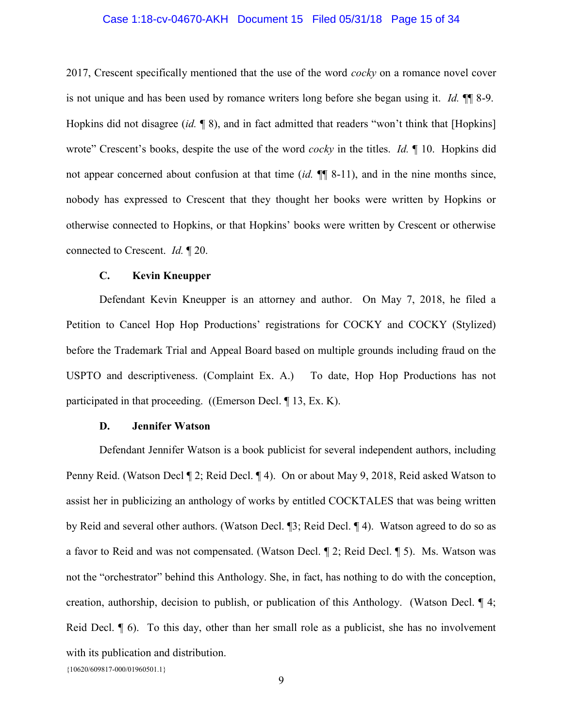#### Case 1:18-cv-04670-AKH Document 15 Filed 05/31/18 Page 15 of 34

2017, Crescent specifically mentioned that the use of the word *cocky* on a romance novel cover is not unique and has been used by romance writers long before she began using it. Id.  $\mathbb{I}$  8-9. Hopkins did not disagree (id.  $\lceil 8 \rceil$ ), and in fact admitted that readers "won't think that [Hopkins] wrote" Crescent's books, despite the use of the word *cocky* in the titles. *Id.* 10. Hopkins did not appear concerned about confusion at that time (id.  $\P\P$  8-11), and in the nine months since, nobody has expressed to Crescent that they thought her books were written by Hopkins or otherwise connected to Hopkins, or that Hopkins' books were written by Crescent or otherwise connected to Crescent. Id. ¶ 20.

### C. Kevin Kneupper

Defendant Kevin Kneupper is an attorney and author. On May 7, 2018, he filed a Petition to Cancel Hop Hop Productions' registrations for COCKY and COCKY (Stylized) before the Trademark Trial and Appeal Board based on multiple grounds including fraud on the USPTO and descriptiveness. (Complaint Ex. A.) To date, Hop Hop Productions has not participated in that proceeding. ((Emerson Decl. ¶ 13, Ex. K).

## D. Jennifer Watson

Defendant Jennifer Watson is a book publicist for several independent authors, including Penny Reid. (Watson Decl ¶ 2; Reid Decl. ¶ 4). On or about May 9, 2018, Reid asked Watson to assist her in publicizing an anthology of works by entitled COCKTALES that was being written by Reid and several other authors. (Watson Decl. ¶3; Reid Decl. ¶ 4). Watson agreed to do so as a favor to Reid and was not compensated. (Watson Decl. ¶ 2; Reid Decl. ¶ 5). Ms. Watson was not the "orchestrator" behind this Anthology. She, in fact, has nothing to do with the conception, creation, authorship, decision to publish, or publication of this Anthology. (Watson Decl. ¶ 4; Reid Decl. ¶ 6). To this day, other than her small role as a publicist, she has no involvement with its publication and distribution.

<sup>{10620/609817-000/01960501.1}</sup>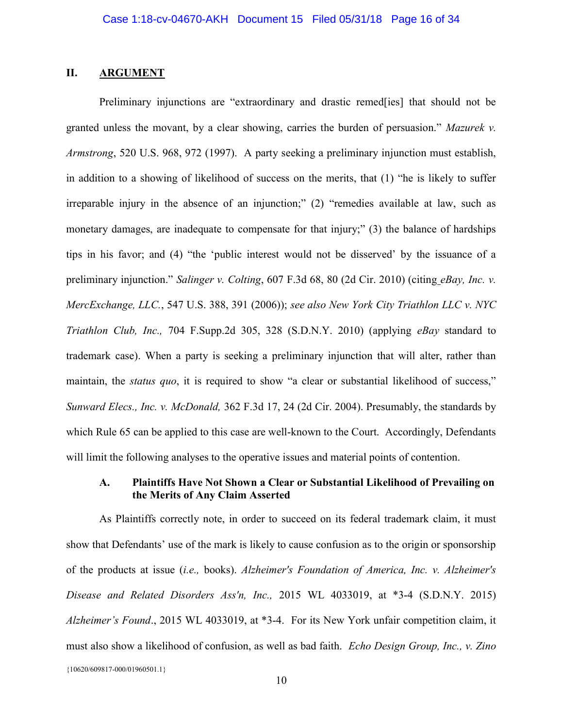## II. ARGUMENT

Preliminary injunctions are "extraordinary and drastic remed[ies] that should not be granted unless the movant, by a clear showing, carries the burden of persuasion." Mazurek v. Armstrong, 520 U.S. 968, 972 (1997). A party seeking a preliminary injunction must establish, in addition to a showing of likelihood of success on the merits, that (1) "he is likely to suffer irreparable injury in the absence of an injunction;" (2) "remedies available at law, such as monetary damages, are inadequate to compensate for that injury;" (3) the balance of hardships tips in his favor; and (4) "the 'public interest would not be disserved' by the issuance of a preliminary injunction." Salinger v. Colting, 607 F.3d 68, 80 (2d Cir. 2010) (citing eBay, Inc. v. MercExchange, LLC., 547 U.S. 388, 391 (2006)); see also New York City Triathlon LLC v. NYC Triathlon Club, Inc., 704 F.Supp.2d 305, 328 (S.D.N.Y. 2010) (applying eBay standard to trademark case). When a party is seeking a preliminary injunction that will alter, rather than maintain, the *status quo*, it is required to show "a clear or substantial likelihood of success," Sunward Elecs., Inc. v. McDonald, 362 F.3d 17, 24 (2d Cir. 2004). Presumably, the standards by which Rule 65 can be applied to this case are well-known to the Court. Accordingly, Defendants will limit the following analyses to the operative issues and material points of contention.

## A. Plaintiffs Have Not Shown a Clear or Substantial Likelihood of Prevailing on the Merits of Any Claim Asserted

{10620/609817-000/01960501.1} As Plaintiffs correctly note, in order to succeed on its federal trademark claim, it must show that Defendants' use of the mark is likely to cause confusion as to the origin or sponsorship of the products at issue (i.e., books). Alzheimer's Foundation of America, Inc. v. Alzheimer's Disease and Related Disorders Ass'n, Inc., 2015 WL 4033019, at \*3-4 (S.D.N.Y. 2015) Alzheimer's Found., 2015 WL 4033019, at \*3-4. For its New York unfair competition claim, it must also show a likelihood of confusion, as well as bad faith. Echo Design Group, Inc., v. Zino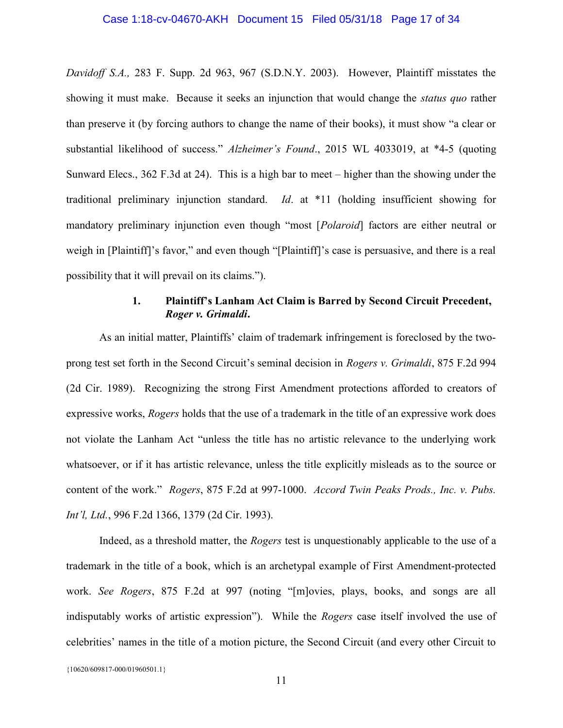### Case 1:18-cv-04670-AKH Document 15 Filed 05/31/18 Page 17 of 34

Davidoff S.A., 283 F. Supp. 2d 963, 967 (S.D.N.Y. 2003). However, Plaintiff misstates the showing it must make. Because it seeks an injunction that would change the *status quo* rather than preserve it (by forcing authors to change the name of their books), it must show "a clear or substantial likelihood of success." Alzheimer's Found., 2015 WL 4033019, at \*4-5 (quoting Sunward Elecs., 362 F.3d at 24). This is a high bar to meet – higher than the showing under the traditional preliminary injunction standard. Id. at \*11 (holding insufficient showing for mandatory preliminary injunction even though "most [*Polaroid*] factors are either neutral or weigh in [Plaintiff]'s favor," and even though "[Plaintiff]'s case is persuasive, and there is a real possibility that it will prevail on its claims.").

## 1. Plaintiff's Lanham Act Claim is Barred by Second Circuit Precedent, Roger v. Grimaldi.

As an initial matter, Plaintiffs' claim of trademark infringement is foreclosed by the twoprong test set forth in the Second Circuit's seminal decision in Rogers v. Grimaldi, 875 F.2d 994 (2d Cir. 1989). Recognizing the strong First Amendment protections afforded to creators of expressive works, Rogers holds that the use of a trademark in the title of an expressive work does not violate the Lanham Act "unless the title has no artistic relevance to the underlying work whatsoever, or if it has artistic relevance, unless the title explicitly misleads as to the source or content of the work." Rogers, 875 F.2d at 997-1000. Accord Twin Peaks Prods., Inc. v. Pubs. Int'l, Ltd., 996 F.2d 1366, 1379 (2d Cir. 1993).

 Indeed, as a threshold matter, the Rogers test is unquestionably applicable to the use of a trademark in the title of a book, which is an archetypal example of First Amendment-protected work. See Rogers, 875 F.2d at 997 (noting "[m]ovies, plays, books, and songs are all indisputably works of artistic expression"). While the Rogers case itself involved the use of celebrities' names in the title of a motion picture, the Second Circuit (and every other Circuit to

{10620/609817-000/01960501.1}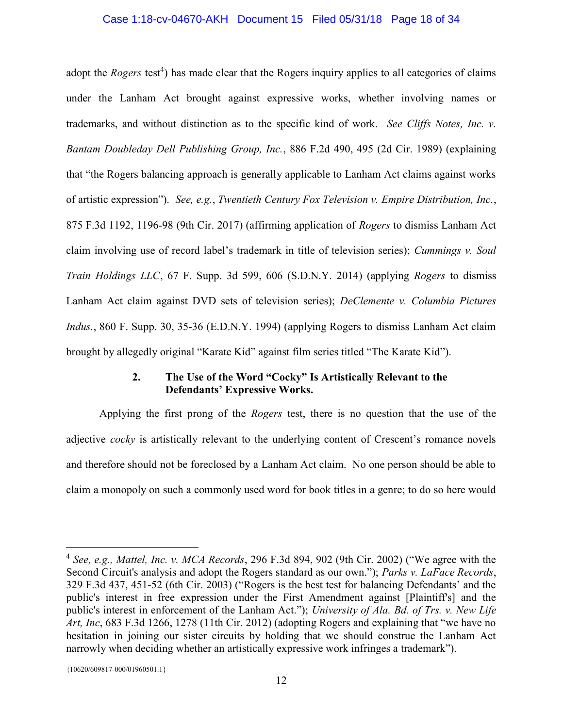## Case 1:18-cv-04670-AKH Document 15 Filed 05/31/18 Page 18 of 34

adopt the *Rogers* test<sup>4</sup>) has made clear that the Rogers inquiry applies to all categories of claims under the Lanham Act brought against expressive works, whether involving names or trademarks, and without distinction as to the specific kind of work. See Cliffs Notes, Inc. v. Bantam Doubleday Dell Publishing Group, Inc., 886 F.2d 490, 495 (2d Cir. 1989) (explaining that "the Rogers balancing approach is generally applicable to Lanham Act claims against works of artistic expression"). See, e.g., Twentieth Century Fox Television v. Empire Distribution, Inc., 875 F.3d 1192, 1196-98 (9th Cir. 2017) (affirming application of Rogers to dismiss Lanham Act claim involving use of record label's trademark in title of television series); Cummings v. Soul Train Holdings LLC, 67 F. Supp. 3d 599, 606 (S.D.N.Y. 2014) (applying Rogers to dismiss Lanham Act claim against DVD sets of television series); DeClemente v. Columbia Pictures Indus., 860 F. Supp. 30, 35-36 (E.D.N.Y. 1994) (applying Rogers to dismiss Lanham Act claim brought by allegedly original "Karate Kid" against film series titled "The Karate Kid").

# 2. The Use of the Word "Cocky" Is Artistically Relevant to the Defendants' Expressive Works.

 Applying the first prong of the Rogers test, there is no question that the use of the adjective *cocky* is artistically relevant to the underlying content of Crescent's romance novels and therefore should not be foreclosed by a Lanham Act claim. No one person should be able to claim a monopoly on such a commonly used word for book titles in a genre; to do so here would

 $\overline{a}$ 

<sup>&</sup>lt;sup>4</sup> See, e.g., Mattel, Inc. v. MCA Records, 296 F.3d 894, 902 (9th Cir. 2002) ("We agree with the Second Circuit's analysis and adopt the Rogers standard as our own."); Parks v. LaFace Records, 329 F.3d 437, 451-52 (6th Cir. 2003) ("Rogers is the best test for balancing Defendants' and the public's interest in free expression under the First Amendment against [Plaintiff's] and the public's interest in enforcement of the Lanham Act."); University of Ala. Bd. of Trs. v. New Life Art, Inc, 683 F.3d 1266, 1278 (11th Cir. 2012) (adopting Rogers and explaining that "we have no hesitation in joining our sister circuits by holding that we should construe the Lanham Act narrowly when deciding whether an artistically expressive work infringes a trademark").

<sup>{10620/609817-000/01960501.1}</sup>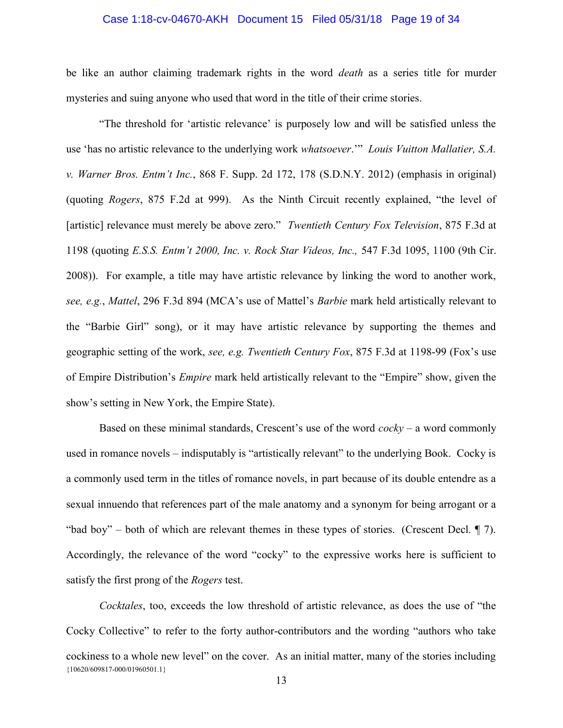### Case 1:18-cv-04670-AKH Document 15 Filed 05/31/18 Page 19 of 34

be like an author claiming trademark rights in the word *death* as a series title for murder mysteries and suing anyone who used that word in the title of their crime stories.

 "The threshold for 'artistic relevance' is purposely low and will be satisfied unless the use 'has no artistic relevance to the underlying work whatsoever.'" Louis Vuitton Mallatier, S.A. v. Warner Bros. Entm't Inc., 868 F. Supp. 2d 172, 178 (S.D.N.Y. 2012) (emphasis in original) (quoting Rogers, 875 F.2d at 999). As the Ninth Circuit recently explained, "the level of [artistic] relevance must merely be above zero." Twentieth Century Fox Television, 875 F.3d at 1198 (quoting E.S.S. Entm't 2000, Inc. v. Rock Star Videos, Inc., 547 F.3d 1095, 1100 (9th Cir. 2008)). For example, a title may have artistic relevance by linking the word to another work, see, e.g., Mattel, 296 F.3d 894 (MCA's use of Mattel's *Barbie* mark held artistically relevant to the "Barbie Girl" song), or it may have artistic relevance by supporting the themes and geographic setting of the work, see, e.g. Twentieth Century Fox, 875 F.3d at 1198-99 (Fox's use of Empire Distribution's Empire mark held artistically relevant to the "Empire" show, given the show's setting in New York, the Empire State).

Based on these minimal standards, Crescent's use of the word  $\cos(y - a)$  word commonly used in romance novels – indisputably is "artistically relevant" to the underlying Book. Cocky is a commonly used term in the titles of romance novels, in part because of its double entendre as a sexual innuendo that references part of the male anatomy and a synonym for being arrogant or a "bad boy" – both of which are relevant themes in these types of stories. (Crescent Decl.  $\parallel$  7). Accordingly, the relevance of the word "cocky" to the expressive works here is sufficient to satisfy the first prong of the *Rogers* test.

{10620/609817-000/01960501.1} Cocktales, too, exceeds the low threshold of artistic relevance, as does the use of "the Cocky Collective" to refer to the forty author-contributors and the wording "authors who take cockiness to a whole new level" on the cover. As an initial matter, many of the stories including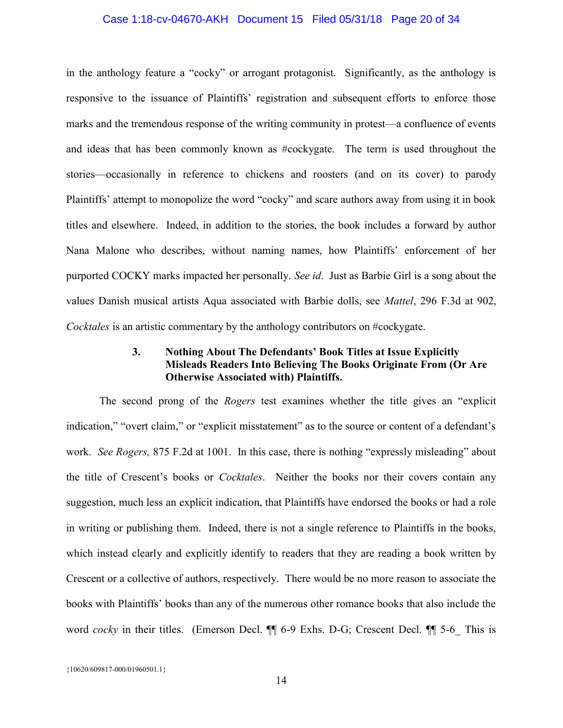### Case 1:18-cv-04670-AKH Document 15 Filed 05/31/18 Page 20 of 34

in the anthology feature a "cocky" or arrogant protagonist. Significantly, as the anthology is responsive to the issuance of Plaintiffs' registration and subsequent efforts to enforce those marks and the tremendous response of the writing community in protest—a confluence of events and ideas that has been commonly known as #cockygate. The term is used throughout the stories—occasionally in reference to chickens and roosters (and on its cover) to parody Plaintiffs' attempt to monopolize the word "cocky" and scare authors away from using it in book titles and elsewhere. Indeed, in addition to the stories, the book includes a forward by author Nana Malone who describes, without naming names, how Plaintiffs' enforcement of her purported COCKY marks impacted her personally. See id. Just as Barbie Girl is a song about the values Danish musical artists Aqua associated with Barbie dolls, see Mattel, 296 F.3d at 902, Cocktales is an artistic commentary by the anthology contributors on #cockygate.

## 3. Nothing About The Defendants' Book Titles at Issue Explicitly Misleads Readers Into Believing The Books Originate From (Or Are Otherwise Associated with) Plaintiffs.

The second prong of the *Rogers* test examines whether the title gives an "explicit" indication," "overt claim," or "explicit misstatement" as to the source or content of a defendant's work. See Rogers, 875 F.2d at 1001. In this case, there is nothing "expressly misleading" about the title of Crescent's books or Cocktales. Neither the books nor their covers contain any suggestion, much less an explicit indication, that Plaintiffs have endorsed the books or had a role in writing or publishing them. Indeed, there is not a single reference to Plaintiffs in the books, which instead clearly and explicitly identify to readers that they are reading a book written by Crescent or a collective of authors, respectively. There would be no more reason to associate the books with Plaintiffs' books than any of the numerous other romance books that also include the word *cocky* in their titles. (Emerson Decl.  $\P$  6-9 Exhs. D-G; Crescent Decl.  $\P$  5-6 This is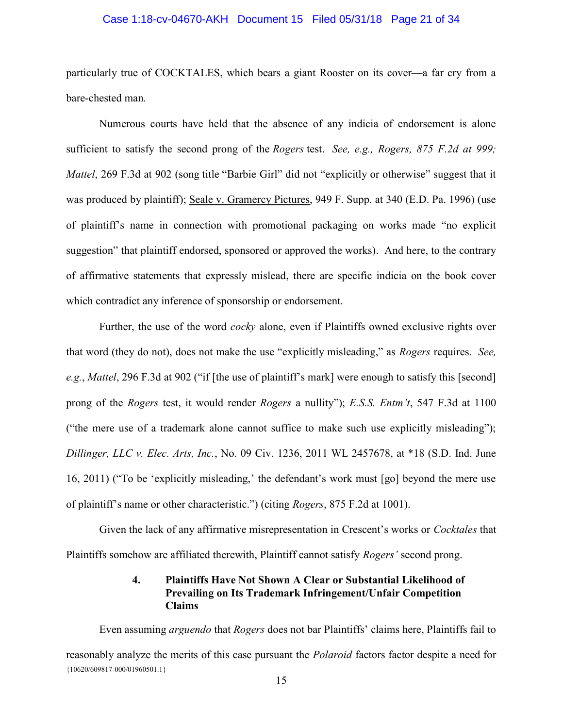### Case 1:18-cv-04670-AKH Document 15 Filed 05/31/18 Page 21 of 34

particularly true of COCKTALES, which bears a giant Rooster on its cover—a far cry from a bare-chested man.

 Numerous courts have held that the absence of any indicia of endorsement is alone sufficient to satisfy the second prong of the Rogers test. See, e.g., Rogers,  $875$  F.2d at 999; Mattel, 269 F.3d at 902 (song title "Barbie Girl" did not "explicitly or otherwise" suggest that it was produced by plaintiff); Seale v. Gramercy Pictures, 949 F. Supp. at 340 (E.D. Pa. 1996) (use of plaintiff's name in connection with promotional packaging on works made "no explicit suggestion" that plaintiff endorsed, sponsored or approved the works). And here, to the contrary of affirmative statements that expressly mislead, there are specific indicia on the book cover which contradict any inference of sponsorship or endorsement.

Further, the use of the word *cocky* alone, even if Plaintiffs owned exclusive rights over that word (they do not), does not make the use "explicitly misleading," as Rogers requires. See, e.g., Mattel, 296 F.3d at 902 ("if [the use of plaintiff's mark] were enough to satisfy this [second] prong of the Rogers test, it would render Rogers a nullity"); E.S.S. Entm't, 547 F.3d at 1100 ("the mere use of a trademark alone cannot suffice to make such use explicitly misleading"); Dillinger, LLC v. Elec. Arts, Inc., No. 09 Civ. 1236, 2011 WL 2457678, at \*18 (S.D. Ind. June 16, 2011) ("To be 'explicitly misleading,' the defendant's work must [go] beyond the mere use of plaintiff's name or other characteristic.") (citing Rogers, 875 F.2d at 1001).

 Given the lack of any affirmative misrepresentation in Crescent's works or Cocktales that Plaintiffs somehow are affiliated therewith, Plaintiff cannot satisfy Rogers' second prong.

## 4. Plaintiffs Have Not Shown A Clear or Substantial Likelihood of Prevailing on Its Trademark Infringement/Unfair Competition Claims

{10620/609817-000/01960501.1} Even assuming *arguendo* that *Rogers* does not bar Plaintiffs' claims here, Plaintiffs fail to reasonably analyze the merits of this case pursuant the Polaroid factors factor despite a need for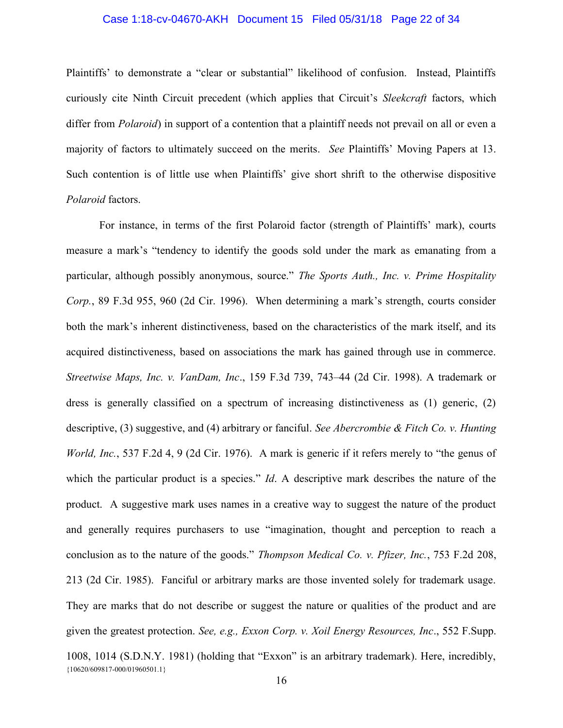### Case 1:18-cv-04670-AKH Document 15 Filed 05/31/18 Page 22 of 34

Plaintiffs' to demonstrate a "clear or substantial" likelihood of confusion. Instead, Plaintiffs curiously cite Ninth Circuit precedent (which applies that Circuit's Sleekcraft factors, which differ from *Polaroid*) in support of a contention that a plaintiff needs not prevail on all or even a majority of factors to ultimately succeed on the merits. See Plaintiffs' Moving Papers at 13. Such contention is of little use when Plaintiffs' give short shrift to the otherwise dispositive Polaroid factors.

{10620/609817-000/01960501.1} For instance, in terms of the first Polaroid factor (strength of Plaintiffs' mark), courts measure a mark's "tendency to identify the goods sold under the mark as emanating from a particular, although possibly anonymous, source." The Sports Auth., Inc. v. Prime Hospitality Corp., 89 F.3d 955, 960 (2d Cir. 1996). When determining a mark's strength, courts consider both the mark's inherent distinctiveness, based on the characteristics of the mark itself, and its acquired distinctiveness, based on associations the mark has gained through use in commerce. Streetwise Maps, Inc. v. VanDam, Inc., 159 F.3d 739, 743–44 (2d Cir. 1998). A trademark or dress is generally classified on a spectrum of increasing distinctiveness as (1) generic, (2) descriptive, (3) suggestive, and (4) arbitrary or fanciful. See Abercrombie & Fitch Co. v. Hunting World, Inc., 537 F.2d 4, 9 (2d Cir. 1976). A mark is generic if it refers merely to "the genus of which the particular product is a species." Id. A descriptive mark describes the nature of the product. A suggestive mark uses names in a creative way to suggest the nature of the product and generally requires purchasers to use "imagination, thought and perception to reach a conclusion as to the nature of the goods." Thompson Medical Co. v. Pfizer, Inc., 753 F.2d 208, 213 (2d Cir. 1985). Fanciful or arbitrary marks are those invented solely for trademark usage. They are marks that do not describe or suggest the nature or qualities of the product and are given the greatest protection. See, e.g., Exxon Corp. v. Xoil Energy Resources, Inc., 552 F.Supp. 1008, 1014 (S.D.N.Y. 1981) (holding that "Exxon" is an arbitrary trademark). Here, incredibly,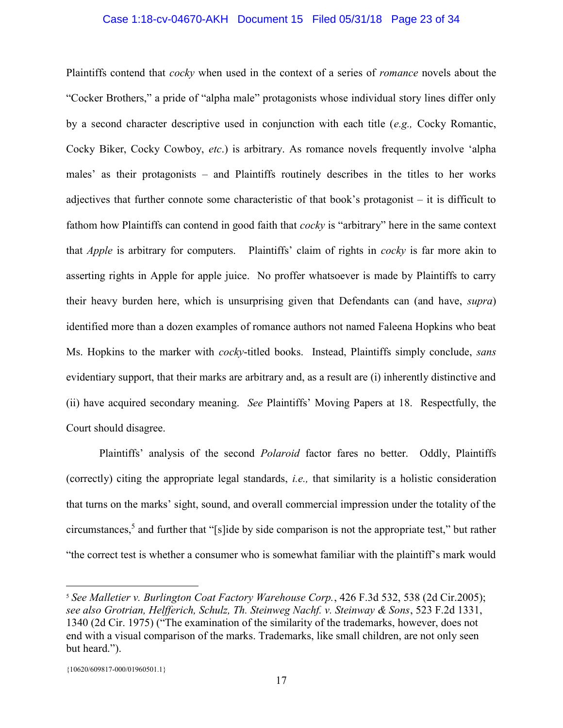### Case 1:18-cv-04670-AKH Document 15 Filed 05/31/18 Page 23 of 34

Plaintiffs contend that *cocky* when used in the context of a series of *romance* novels about the "Cocker Brothers," a pride of "alpha male" protagonists whose individual story lines differ only by a second character descriptive used in conjunction with each title (e.g., Cocky Romantic, Cocky Biker, Cocky Cowboy, etc.) is arbitrary. As romance novels frequently involve 'alpha males' as their protagonists – and Plaintiffs routinely describes in the titles to her works adjectives that further connote some characteristic of that book's protagonist – it is difficult to fathom how Plaintiffs can contend in good faith that *cocky* is "arbitrary" here in the same context that Apple is arbitrary for computers. Plaintiffs' claim of rights in cocky is far more akin to asserting rights in Apple for apple juice. No proffer whatsoever is made by Plaintiffs to carry their heavy burden here, which is unsurprising given that Defendants can (and have, supra) identified more than a dozen examples of romance authors not named Faleena Hopkins who beat Ms. Hopkins to the marker with *cocky*-titled books. Instead, Plaintiffs simply conclude, *sans* evidentiary support, that their marks are arbitrary and, as a result are (i) inherently distinctive and (ii) have acquired secondary meaning. See Plaintiffs' Moving Papers at 18. Respectfully, the Court should disagree.

Plaintiffs' analysis of the second *Polaroid* factor fares no better. Oddly, Plaintiffs (correctly) citing the appropriate legal standards, i.e., that similarity is a holistic consideration that turns on the marks' sight, sound, and overall commercial impression under the totality of the circumstances,<sup>5</sup> and further that "[s]ide by side comparison is not the appropriate test," but rather "the correct test is whether a consumer who is somewhat familiar with the plaintiff's mark would

 $\overline{a}$ 

<sup>&</sup>lt;sup>5</sup> See Malletier v. Burlington Coat Factory Warehouse Corp., 426 F.3d 532, 538 (2d Cir.2005); see also Grotrian, Helfferich, Schulz, Th. Steinweg Nachf. v. Steinway & Sons, 523 F.2d 1331, 1340 (2d Cir. 1975) ("The examination of the similarity of the trademarks, however, does not end with a visual comparison of the marks. Trademarks, like small children, are not only seen but heard.").

<sup>{10620/609817-000/01960501.1}</sup>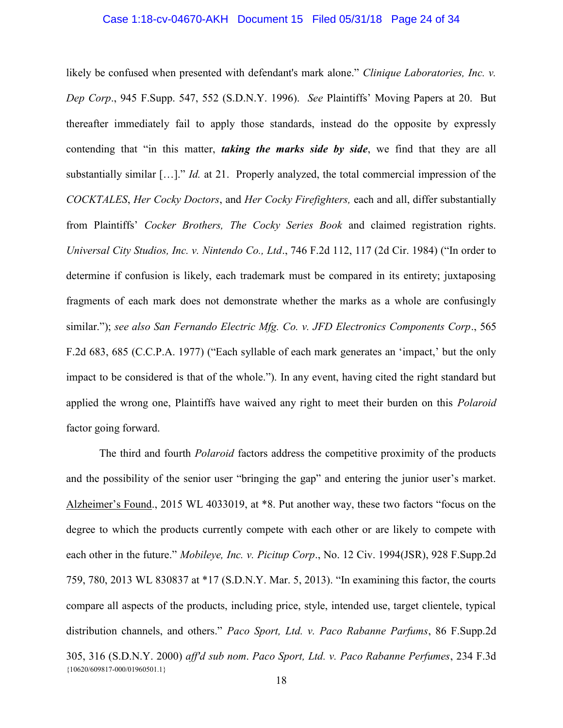### Case 1:18-cv-04670-AKH Document 15 Filed 05/31/18 Page 24 of 34

likely be confused when presented with defendant's mark alone." Clinique Laboratories, Inc. v. Dep Corp., 945 F.Supp. 547, 552 (S.D.N.Y. 1996). See Plaintiffs' Moving Papers at 20. But thereafter immediately fail to apply those standards, instead do the opposite by expressly contending that "in this matter, *taking the marks side by side*, we find that they are all substantially similar [...]." *Id.* at 21. Properly analyzed, the total commercial impression of the COCKTALES, Her Cocky Doctors, and Her Cocky Firefighters, each and all, differ substantially from Plaintiffs' Cocker Brothers, The Cocky Series Book and claimed registration rights. Universal City Studios, Inc. v. Nintendo Co., Ltd., 746 F.2d 112, 117 (2d Cir. 1984) ("In order to determine if confusion is likely, each trademark must be compared in its entirety; juxtaposing fragments of each mark does not demonstrate whether the marks as a whole are confusingly similar."); see also San Fernando Electric Mfg. Co. v. JFD Electronics Components Corp., 565 F.2d 683, 685 (C.C.P.A. 1977) ("Each syllable of each mark generates an 'impact,' but the only impact to be considered is that of the whole."). In any event, having cited the right standard but applied the wrong one, Plaintiffs have waived any right to meet their burden on this *Polaroid* factor going forward.

{10620/609817-000/01960501.1} The third and fourth *Polaroid* factors address the competitive proximity of the products and the possibility of the senior user "bringing the gap" and entering the junior user's market. Alzheimer's Found., 2015 WL 4033019, at \*8. Put another way, these two factors "focus on the degree to which the products currently compete with each other or are likely to compete with each other in the future." *Mobileye, Inc. v. Picitup Corp.*, No. 12 Civ. 1994(JSR), 928 F.Supp.2d 759, 780, 2013 WL 830837 at \*17 (S.D.N.Y. Mar. 5, 2013). "In examining this factor, the courts compare all aspects of the products, including price, style, intended use, target clientele, typical distribution channels, and others." Paco Sport, Ltd. v. Paco Rabanne Parfums, 86 F.Supp.2d 305, 316 (S.D.N.Y. 2000) aff'd sub nom. Paco Sport, Ltd. v. Paco Rabanne Perfumes, 234 F.3d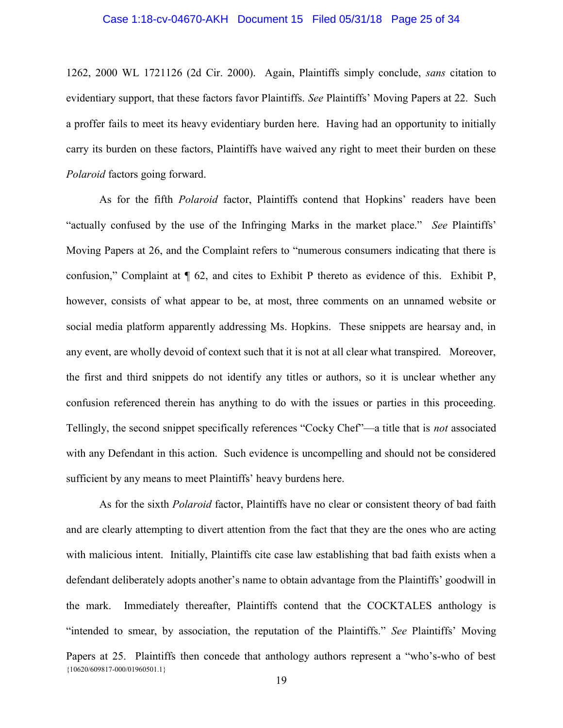### Case 1:18-cv-04670-AKH Document 15 Filed 05/31/18 Page 25 of 34

1262, 2000 WL 1721126 (2d Cir. 2000). Again, Plaintiffs simply conclude, sans citation to evidentiary support, that these factors favor Plaintiffs. See Plaintiffs' Moving Papers at 22. Such a proffer fails to meet its heavy evidentiary burden here. Having had an opportunity to initially carry its burden on these factors, Plaintiffs have waived any right to meet their burden on these Polaroid factors going forward.

As for the fifth Polaroid factor, Plaintiffs contend that Hopkins' readers have been "actually confused by the use of the Infringing Marks in the market place." See Plaintiffs' Moving Papers at 26, and the Complaint refers to "numerous consumers indicating that there is confusion," Complaint at ¶ 62, and cites to Exhibit P thereto as evidence of this. Exhibit P, however, consists of what appear to be, at most, three comments on an unnamed website or social media platform apparently addressing Ms. Hopkins. These snippets are hearsay and, in any event, are wholly devoid of context such that it is not at all clear what transpired. Moreover, the first and third snippets do not identify any titles or authors, so it is unclear whether any confusion referenced therein has anything to do with the issues or parties in this proceeding. Tellingly, the second snippet specifically references "Cocky Chef"—a title that is not associated with any Defendant in this action. Such evidence is uncompelling and should not be considered sufficient by any means to meet Plaintiffs' heavy burdens here.

{10620/609817-000/01960501.1} As for the sixth *Polaroid* factor, Plaintiffs have no clear or consistent theory of bad faith and are clearly attempting to divert attention from the fact that they are the ones who are acting with malicious intent. Initially, Plaintiffs cite case law establishing that bad faith exists when a defendant deliberately adopts another's name to obtain advantage from the Plaintiffs' goodwill in the mark. Immediately thereafter, Plaintiffs contend that the COCKTALES anthology is "intended to smear, by association, the reputation of the Plaintiffs." See Plaintiffs' Moving Papers at 25. Plaintiffs then concede that anthology authors represent a "who's-who of best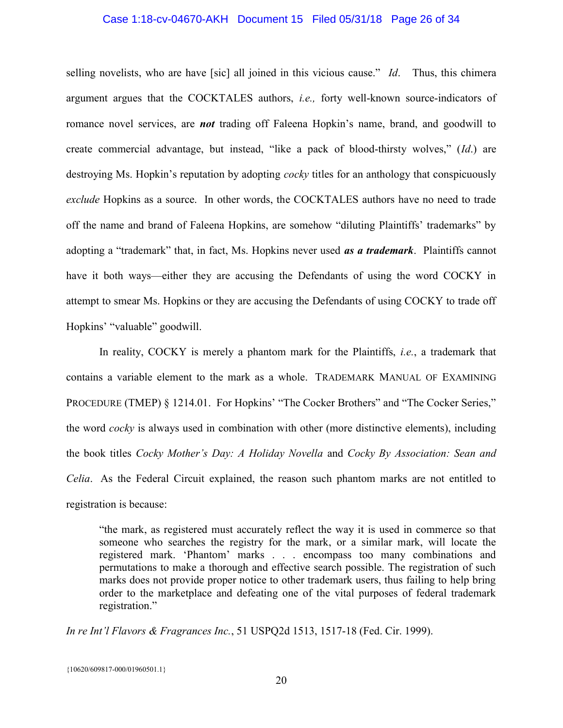#### Case 1:18-cv-04670-AKH Document 15 Filed 05/31/18 Page 26 of 34

selling novelists, who are have [sic] all joined in this vicious cause." Id. Thus, this chimera argument argues that the COCKTALES authors, i.e., forty well-known source-indicators of romance novel services, are **not** trading off Faleena Hopkin's name, brand, and goodwill to create commercial advantage, but instead, "like a pack of blood-thirsty wolves," (Id.) are destroying Ms. Hopkin's reputation by adopting *cocky* titles for an anthology that conspicuously exclude Hopkins as a source. In other words, the COCKTALES authors have no need to trade off the name and brand of Faleena Hopkins, are somehow "diluting Plaintiffs' trademarks" by adopting a "trademark" that, in fact, Ms. Hopkins never used as a trademark. Plaintiffs cannot have it both ways—either they are accusing the Defendants of using the word COCKY in attempt to smear Ms. Hopkins or they are accusing the Defendants of using COCKY to trade off Hopkins' "valuable" goodwill.

In reality, COCKY is merely a phantom mark for the Plaintiffs, *i.e.*, a trademark that contains a variable element to the mark as a whole. TRADEMARK MANUAL OF EXAMINING PROCEDURE (TMEP) § 1214.01. For Hopkins' "The Cocker Brothers" and "The Cocker Series," the word *cocky* is always used in combination with other (more distinctive elements), including the book titles Cocky Mother's Day: A Holiday Novella and Cocky By Association: Sean and Celia. As the Federal Circuit explained, the reason such phantom marks are not entitled to registration is because:

"the mark, as registered must accurately reflect the way it is used in commerce so that someone who searches the registry for the mark, or a similar mark, will locate the registered mark. 'Phantom' marks . . . encompass too many combinations and permutations to make a thorough and effective search possible. The registration of such marks does not provide proper notice to other trademark users, thus failing to help bring order to the marketplace and defeating one of the vital purposes of federal trademark registration."

In re Int'l Flavors & Fragrances Inc., 51 USPQ2d 1513, 1517-18 (Fed. Cir. 1999).

{10620/609817-000/01960501.1}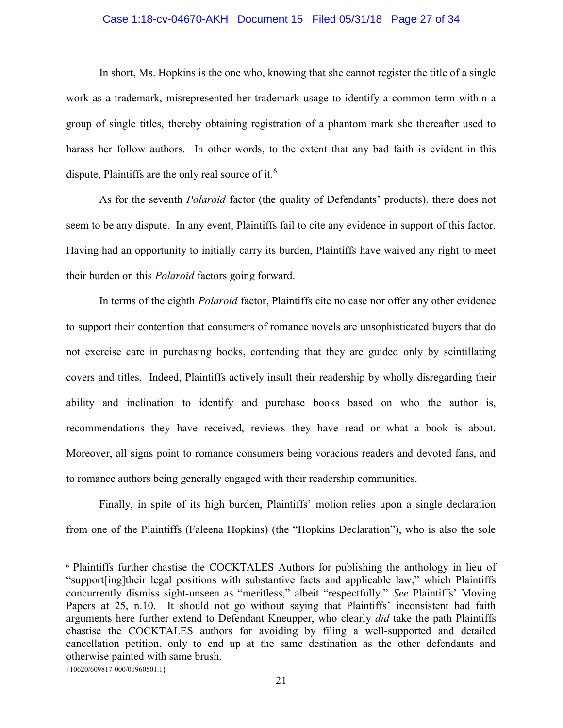#### Case 1:18-cv-04670-AKH Document 15 Filed 05/31/18 Page 27 of 34

In short, Ms. Hopkins is the one who, knowing that she cannot register the title of a single work as a trademark, misrepresented her trademark usage to identify a common term within a group of single titles, thereby obtaining registration of a phantom mark she thereafter used to harass her follow authors. In other words, to the extent that any bad faith is evident in this dispute, Plaintiffs are the only real source of it.<sup>6</sup>

As for the seventh *Polaroid* factor (the quality of Defendants' products), there does not seem to be any dispute. In any event, Plaintiffs fail to cite any evidence in support of this factor. Having had an opportunity to initially carry its burden, Plaintiffs have waived any right to meet their burden on this Polaroid factors going forward.

In terms of the eighth *Polaroid* factor, Plaintiffs cite no case nor offer any other evidence to support their contention that consumers of romance novels are unsophisticated buyers that do not exercise care in purchasing books, contending that they are guided only by scintillating covers and titles. Indeed, Plaintiffs actively insult their readership by wholly disregarding their ability and inclination to identify and purchase books based on who the author is, recommendations they have received, reviews they have read or what a book is about. Moreover, all signs point to romance consumers being voracious readers and devoted fans, and to romance authors being generally engaged with their readership communities.

Finally, in spite of its high burden, Plaintiffs' motion relies upon a single declaration from one of the Plaintiffs (Faleena Hopkins) (the "Hopkins Declaration"), who is also the sole

 $\overline{a}$ 

<sup>6</sup> Plaintiffs further chastise the COCKTALES Authors for publishing the anthology in lieu of "support[ing]their legal positions with substantive facts and applicable law," which Plaintiffs concurrently dismiss sight-unseen as "meritless," albeit "respectfully." See Plaintiffs' Moving Papers at 25, n.10. It should not go without saying that Plaintiffs' inconsistent bad faith arguments here further extend to Defendant Kneupper, who clearly did take the path Plaintiffs chastise the COCKTALES authors for avoiding by filing a well-supported and detailed cancellation petition, only to end up at the same destination as the other defendants and otherwise painted with same brush.

<sup>{10620/609817-000/01960501.1}</sup>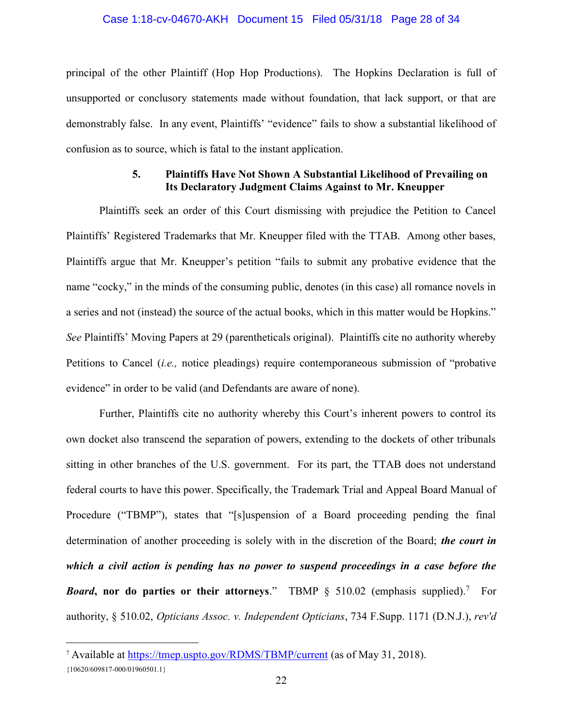#### Case 1:18-cv-04670-AKH Document 15 Filed 05/31/18 Page 28 of 34

principal of the other Plaintiff (Hop Hop Productions). The Hopkins Declaration is full of unsupported or conclusory statements made without foundation, that lack support, or that are demonstrably false. In any event, Plaintiffs' "evidence" fails to show a substantial likelihood of confusion as to source, which is fatal to the instant application.

## 5. Plaintiffs Have Not Shown A Substantial Likelihood of Prevailing on Its Declaratory Judgment Claims Against to Mr. Kneupper

Plaintiffs seek an order of this Court dismissing with prejudice the Petition to Cancel Plaintiffs' Registered Trademarks that Mr. Kneupper filed with the TTAB. Among other bases, Plaintiffs argue that Mr. Kneupper's petition "fails to submit any probative evidence that the name "cocky," in the minds of the consuming public, denotes (in this case) all romance novels in a series and not (instead) the source of the actual books, which in this matter would be Hopkins." See Plaintiffs' Moving Papers at 29 (parentheticals original). Plaintiffs cite no authority whereby Petitions to Cancel (i.e., notice pleadings) require contemporaneous submission of "probative evidence" in order to be valid (and Defendants are aware of none).

Further, Plaintiffs cite no authority whereby this Court's inherent powers to control its own docket also transcend the separation of powers, extending to the dockets of other tribunals sitting in other branches of the U.S. government. For its part, the TTAB does not understand federal courts to have this power. Specifically, the Trademark Trial and Appeal Board Manual of Procedure ("TBMP"), states that "[s]uspension of a Board proceeding pending the final determination of another proceeding is solely with in the discretion of the Board; the court in which a civil action is pending has no power to suspend proceedings in a case before the *Board*, nor do parties or their attorneys." TBMP  $\S$  510.02 (emphasis supplied).<sup>7</sup> For authority, § 510.02, Opticians Assoc. v. Independent Opticians, 734 F.Supp. 1171 (D.N.J.), rev'd

 $\overline{a}$ 

<sup>7</sup> Available at https://tmep.uspto.gov/RDMS/TBMP/current (as of May 31, 2018).

<sup>{10620/609817-000/01960501.1}</sup>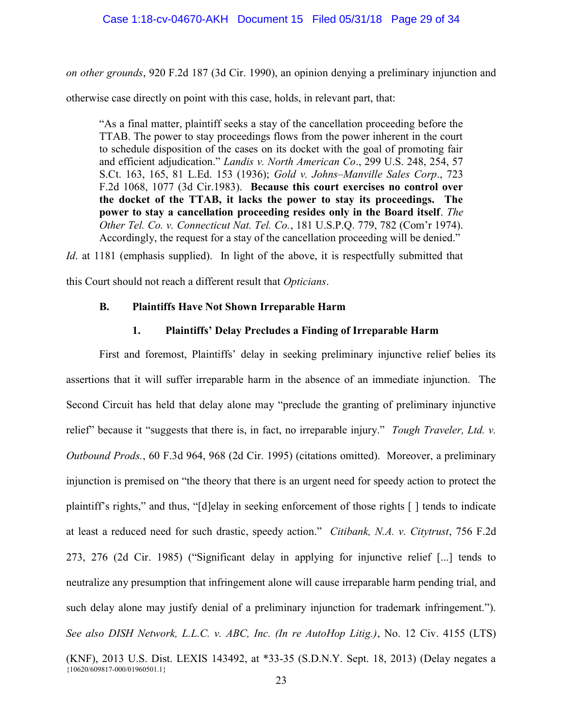on other grounds, 920 F.2d 187 (3d Cir. 1990), an opinion denying a preliminary injunction and

otherwise case directly on point with this case, holds, in relevant part, that:

"As a final matter, plaintiff seeks a stay of the cancellation proceeding before the TTAB. The power to stay proceedings flows from the power inherent in the court to schedule disposition of the cases on its docket with the goal of promoting fair and efficient adjudication." Landis v. North American Co., 299 U.S. 248, 254, 57 S.Ct. 163, 165, 81 L.Ed. 153 (1936); Gold v. Johns–Manville Sales Corp., 723 F.2d 1068, 1077 (3d Cir.1983). Because this court exercises no control over the docket of the TTAB, it lacks the power to stay its proceedings. The power to stay a cancellation proceeding resides only in the Board itself. The Other Tel. Co. v. Connecticut Nat. Tel. Co., 181 U.S.P.Q. 779, 782 (Com'r 1974). Accordingly, the request for a stay of the cancellation proceeding will be denied."

Id. at 1181 (emphasis supplied). In light of the above, it is respectfully submitted that

this Court should not reach a different result that Opticians.

## B. Plaintiffs Have Not Shown Irreparable Harm

## 1. Plaintiffs' Delay Precludes a Finding of Irreparable Harm

{10620/609817-000/01960501.1} First and foremost, Plaintiffs' delay in seeking preliminary injunctive relief belies its assertions that it will suffer irreparable harm in the absence of an immediate injunction. The Second Circuit has held that delay alone may "preclude the granting of preliminary injunctive relief" because it "suggests that there is, in fact, no irreparable injury." Tough Traveler, Ltd. v. Outbound Prods., 60 F.3d 964, 968 (2d Cir. 1995) (citations omitted). Moreover, a preliminary injunction is premised on "the theory that there is an urgent need for speedy action to protect the plaintiff's rights," and thus, "[d]elay in seeking enforcement of those rights [ ] tends to indicate at least a reduced need for such drastic, speedy action." Citibank, N.A. v. Citytrust, 756 F.2d 273, 276 (2d Cir. 1985) ("Significant delay in applying for injunctive relief [...] tends to neutralize any presumption that infringement alone will cause irreparable harm pending trial, and such delay alone may justify denial of a preliminary injunction for trademark infringement."). See also DISH Network, L.L.C. v. ABC, Inc. (In re AutoHop Litig.), No. 12 Civ. 4155 (LTS) (KNF), 2013 U.S. Dist. LEXIS 143492, at \*33-35 (S.D.N.Y. Sept. 18, 2013) (Delay negates a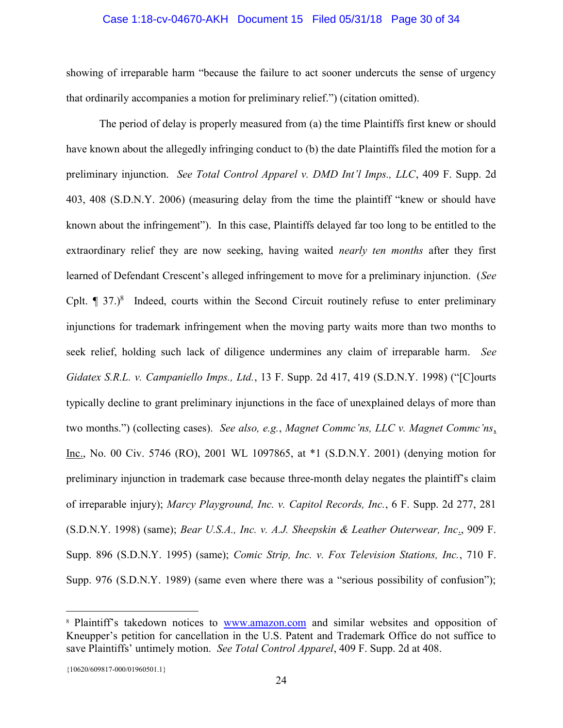### Case 1:18-cv-04670-AKH Document 15 Filed 05/31/18 Page 30 of 34

showing of irreparable harm "because the failure to act sooner undercuts the sense of urgency that ordinarily accompanies a motion for preliminary relief.") (citation omitted).

The period of delay is properly measured from (a) the time Plaintiffs first knew or should have known about the allegedly infringing conduct to (b) the date Plaintiffs filed the motion for a preliminary injunction. See Total Control Apparel v. DMD Int'l Imps., LLC, 409 F. Supp. 2d 403, 408 (S.D.N.Y. 2006) (measuring delay from the time the plaintiff "knew or should have known about the infringement"). In this case, Plaintiffs delayed far too long to be entitled to the extraordinary relief they are now seeking, having waited nearly ten months after they first learned of Defendant Crescent's alleged infringement to move for a preliminary injunction. (See Cplt.  $\P$  37.)<sup>8</sup> Indeed, courts within the Second Circuit routinely refuse to enter preliminary injunctions for trademark infringement when the moving party waits more than two months to seek relief, holding such lack of diligence undermines any claim of irreparable harm. See Gidatex S.R.L. v. Campaniello Imps., Ltd., 13 F. Supp. 2d 417, 419 (S.D.N.Y. 1998) ("[C]ourts typically decline to grant preliminary injunctions in the face of unexplained delays of more than two months.") (collecting cases). See also, e.g., Magnet Commc'ns, LLC v. Magnet Commc'ns, Inc., No. 00 Civ. 5746 (RO), 2001 WL 1097865, at \*1 (S.D.N.Y. 2001) (denying motion for preliminary injunction in trademark case because three-month delay negates the plaintiff's claim of irreparable injury); Marcy Playground, Inc. v. Capitol Records, Inc., 6 F. Supp. 2d 277, 281 (S.D.N.Y. 1998) (same); Bear U.S.A., Inc. v. A.J. Sheepskin & Leather Outerwear, Inc., 909 F. Supp. 896 (S.D.N.Y. 1995) (same); Comic Strip, Inc. v. Fox Television Stations, Inc., 710 F. Supp. 976 (S.D.N.Y. 1989) (same even where there was a "serious possibility of confusion");

 $\overline{a}$ 

<sup>&</sup>lt;sup>8</sup> Plaintiff's takedown notices to www.amazon.com and similar websites and opposition of Kneupper's petition for cancellation in the U.S. Patent and Trademark Office do not suffice to save Plaintiffs' untimely motion. See Total Control Apparel, 409 F. Supp. 2d at 408.

<sup>{10620/609817-000/01960501.1}</sup>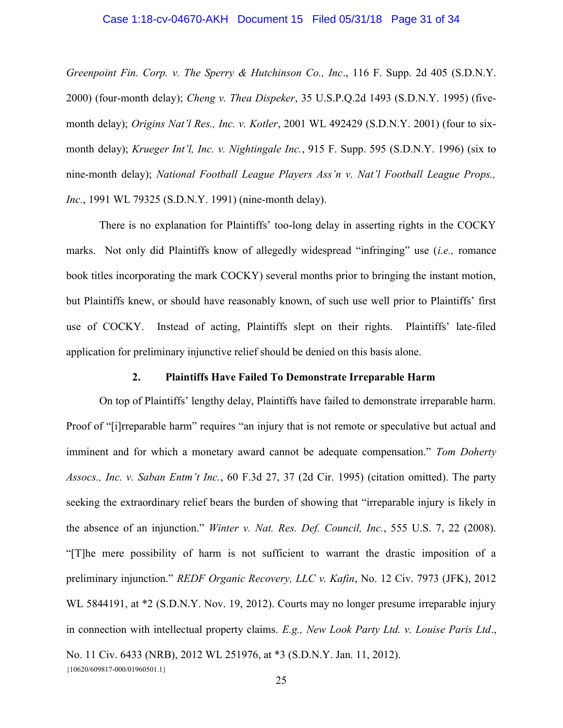### Case 1:18-cv-04670-AKH Document 15 Filed 05/31/18 Page 31 of 34

Greenpoint Fin. Corp. v. The Sperry & Hutchinson Co., Inc., 116 F. Supp. 2d 405 (S.D.N.Y.) 2000) (four-month delay); Cheng v. Thea Dispeker, 35 U.S.P.Q.2d 1493 (S.D.N.Y. 1995) (fivemonth delay); Origins Nat'l Res., Inc. v. Kotler, 2001 WL 492429 (S.D.N.Y. 2001) (four to sixmonth delay); Krueger Int'l, Inc. v. Nightingale Inc., 915 F. Supp. 595 (S.D.N.Y. 1996) (six to nine-month delay); National Football League Players Ass'n v. Nat'l Football League Props., Inc., 1991 WL 79325 (S.D.N.Y. 1991) (nine-month delay).

There is no explanation for Plaintiffs' too-long delay in asserting rights in the COCKY marks. Not only did Plaintiffs know of allegedly widespread "infringing" use *(i.e.*, romance book titles incorporating the mark COCKY) several months prior to bringing the instant motion, but Plaintiffs knew, or should have reasonably known, of such use well prior to Plaintiffs' first use of COCKY. Instead of acting, Plaintiffs slept on their rights. Plaintiffs' late-filed application for preliminary injunctive relief should be denied on this basis alone.

#### 2. Plaintiffs Have Failed To Demonstrate Irreparable Harm

{10620/609817-000/01960501.1} On top of Plaintiffs' lengthy delay, Plaintiffs have failed to demonstrate irreparable harm. Proof of "[i]rreparable harm" requires "an injury that is not remote or speculative but actual and imminent and for which a monetary award cannot be adequate compensation." Tom Doherty Assocs., Inc. v. Saban Entm't Inc., 60 F.3d 27, 37 (2d Cir. 1995) (citation omitted). The party seeking the extraordinary relief bears the burden of showing that "irreparable injury is likely in the absence of an injunction." Winter v. Nat. Res. Def. Council, Inc., 555 U.S. 7, 22 (2008). "[T]he mere possibility of harm is not sufficient to warrant the drastic imposition of a preliminary injunction." REDF Organic Recovery, LLC v. Kafin, No. 12 Civ. 7973 (JFK), 2012 WL 5844191, at \*2 (S.D.N.Y. Nov. 19, 2012). Courts may no longer presume irreparable injury in connection with intellectual property claims. E.g., New Look Party Ltd. v. Louise Paris Ltd., No. 11 Civ. 6433 (NRB), 2012 WL 251976, at \*3 (S.D.N.Y. Jan. 11, 2012).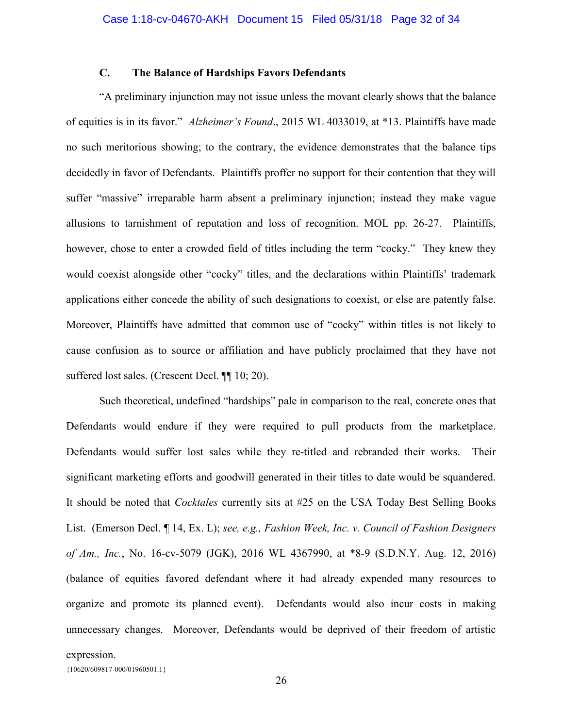## C. The Balance of Hardships Favors Defendants

"A preliminary injunction may not issue unless the movant clearly shows that the balance of equities is in its favor." Alzheimer's Found., 2015 WL 4033019, at \*13. Plaintiffs have made no such meritorious showing; to the contrary, the evidence demonstrates that the balance tips decidedly in favor of Defendants. Plaintiffs proffer no support for their contention that they will suffer "massive" irreparable harm absent a preliminary injunction; instead they make vague allusions to tarnishment of reputation and loss of recognition. MOL pp. 26-27. Plaintiffs, however, chose to enter a crowded field of titles including the term "cocky." They knew they would coexist alongside other "cocky" titles, and the declarations within Plaintiffs' trademark applications either concede the ability of such designations to coexist, or else are patently false. Moreover, Plaintiffs have admitted that common use of "cocky" within titles is not likely to cause confusion as to source or affiliation and have publicly proclaimed that they have not suffered lost sales. (Crescent Decl. ¶¶ 10; 20).

Such theoretical, undefined "hardships" pale in comparison to the real, concrete ones that Defendants would endure if they were required to pull products from the marketplace. Defendants would suffer lost sales while they re-titled and rebranded their works. Their significant marketing efforts and goodwill generated in their titles to date would be squandered. It should be noted that Cocktales currently sits at #25 on the USA Today Best Selling Books List. (Emerson Decl. ¶ 14, Ex. L); see, e.g., Fashion Week, Inc. v. Council of Fashion Designers of Am., Inc., No. 16-cv-5079 (JGK), 2016 WL 4367990, at \*8-9 (S.D.N.Y. Aug. 12, 2016) (balance of equities favored defendant where it had already expended many resources to organize and promote its planned event). Defendants would also incur costs in making unnecessary changes. Moreover, Defendants would be deprived of their freedom of artistic

expression.

{10620/609817-000/01960501.1}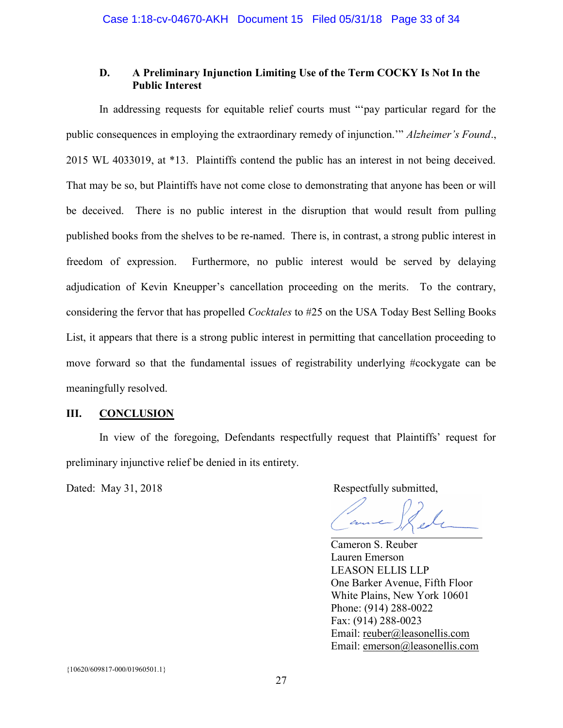## D. A Preliminary Injunction Limiting Use of the Term COCKY Is Not In the Public Interest

In addressing requests for equitable relief courts must "'pay particular regard for the public consequences in employing the extraordinary remedy of injunction." Alzheimer's Found., 2015 WL 4033019, at \*13. Plaintiffs contend the public has an interest in not being deceived. That may be so, but Plaintiffs have not come close to demonstrating that anyone has been or will be deceived. There is no public interest in the disruption that would result from pulling published books from the shelves to be re-named. There is, in contrast, a strong public interest in freedom of expression. Furthermore, no public interest would be served by delaying adjudication of Kevin Kneupper's cancellation proceeding on the merits. To the contrary, considering the fervor that has propelled Cocktales to #25 on the USA Today Best Selling Books List, it appears that there is a strong public interest in permitting that cancellation proceeding to move forward so that the fundamental issues of registrability underlying #cockygate can be meaningfully resolved.

## III. CONCLUSION

 In view of the foregoing, Defendants respectfully request that Plaintiffs' request for preliminary injunctive relief be denied in its entirety.

Dated: May 31, 2018 Respectfully submitted,

Cameron S. Reuber Lauren Emerson LEASON ELLIS LLP One Barker Avenue, Fifth Floor White Plains, New York 10601 Phone: (914) 288-0022 Fax: (914) 288-0023 Email: reuber@leasonellis.com Email: emerson@leasonellis.com

{10620/609817-000/01960501.1}